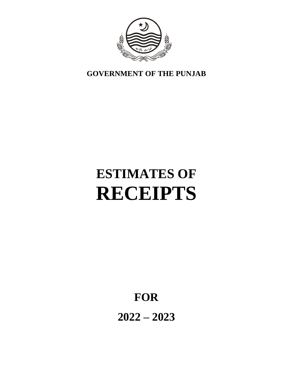

**GOVERNMENT OF THE PUNJAB**

# **ESTIMATES OF RECEIPTS**

**FOR**

**2022 – 2023**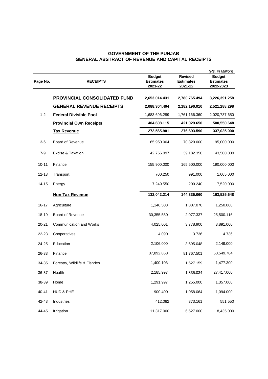# **GOVERNMENT OF THE PUNJAB GENERAL ABSTRACT OF REVENUE AND CAPITAL RECEIPTS**

| Page No.  | <b>RECEIPTS</b>                 | <b>Budget</b><br><b>Estimates</b><br>2021-22 | <b>Revised</b><br><b>Estimates</b><br>2021-22 | (Rs. in Million)<br><b>Budget</b><br><b>Estimates</b><br>2022-2023 |
|-----------|---------------------------------|----------------------------------------------|-----------------------------------------------|--------------------------------------------------------------------|
|           | PROVINCIAL CONSOLIDATED FUND    | 2,653,014.431                                | 2,780,765.494                                 | 3,226,391.258                                                      |
|           | <b>GENERAL REVENUE RECEIPTS</b> | 2,088,304.404                                | 2,182,196.010                                 | 2,521,288.298                                                      |
| $1 - 2$   | <b>Federal Divisible Pool</b>   | 1,683,696.289                                | 1,761,166.360                                 | 2,020,737.650                                                      |
|           | <b>Provincial Own Receipts</b>  | 404,608.115                                  | 421,029.650                                   | 500,550.648                                                        |
|           | <b>Tax Revenue</b>              | 272,565.901                                  | 276,693.590                                   | 337,025.000                                                        |
| $3-6$     | Board of Revenue                | 65,950.004                                   | 70,820.000                                    | 95,000.000                                                         |
| $7 - 9$   | Excise & Taxation               | 42,766.097                                   | 39,182.350                                    | 43,500.000                                                         |
| $10 - 11$ | Finance                         | 155,900.000                                  | 165,500.000                                   | 190,000.000                                                        |
| $12 - 13$ | Transport                       | 700.250                                      | 991.000                                       | 1,005.000                                                          |
| $14 - 15$ | Energy                          | 7,249.550                                    | 200.240                                       | 7,520.000                                                          |
|           | <b>Non Tax Revenue</b>          | 132,042.214                                  | 144,336.060                                   | 163,525.648                                                        |
| $16 - 17$ | Agriculture                     | 1,146.500                                    | 1,807.070                                     | 1,250.000                                                          |
| 18-19     | Board of Revenue                | 30,355.550                                   | 2,077.337                                     | 25,500.116                                                         |
| $20 - 21$ | <b>Communication and Works</b>  | 4,025.001                                    | 3,778.900                                     | 3,891.000                                                          |
| 22-23     | Cooperatives                    | 4.090                                        | 3.736                                         | 4.736                                                              |
| 24-25     | Education                       | 2,106.000                                    | 3,695.048                                     | 2,149.000                                                          |
| 26-33     | Finance                         | 37,892.853                                   | 81,767.501                                    | 50,549.784                                                         |
| 34-35     | Forestry, Wildlife & Fishries   | 1,400.103                                    | 1,627.159                                     | 1,477.300                                                          |
| 36-37     | Health                          | 2,185.997                                    | 1,835.034                                     | 27,417.000                                                         |
| 38-39     | Home                            | 1,291.997                                    | 1,255.000                                     | 1,357.000                                                          |
| 40-41     | HUD & PHE                       | 900.400                                      | 1,058.064                                     | 1,094.000                                                          |
| 42-43     | Industries                      | 412.082                                      | 373.161                                       | 551.550                                                            |
| 44-45     | Irrigation                      | 11,317.000                                   | 6,627.000                                     | 8,435.000                                                          |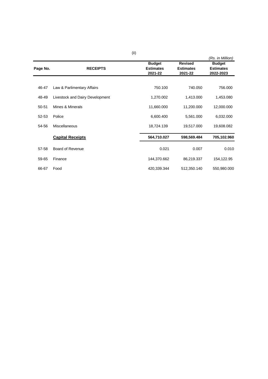|          |                                 |                                              |                                               | (Rs. in Million)                               |
|----------|---------------------------------|----------------------------------------------|-----------------------------------------------|------------------------------------------------|
| Page No. | <b>RECEIPTS</b>                 | <b>Budget</b><br><b>Estimates</b><br>2021-22 | <b>Revised</b><br><b>Estimates</b><br>2021-22 | <b>Budget</b><br><b>Estimates</b><br>2022-2023 |
|          |                                 |                                              |                                               |                                                |
| 46-47    | Law & Parlimentary Affairs      | 750.100                                      | 740.050                                       | 756.000                                        |
| 48-49    | Livestock and Dairy Development | 1,270.002                                    | 1,413.000                                     | 1,453.080                                      |
| 50-51    | Mines & Minerals                | 11,660.000                                   | 11,200.000                                    | 12,000.000                                     |
| 52-53    | Police                          | 6,600.400                                    | 5,561.000                                     | 6,032.000                                      |
| 54-56    | Miscellaneous                   | 18,724.139                                   | 19,517.000                                    | 19,608.082                                     |
|          | <b>Capital Receipts</b>         | 564,710.027                                  | 598,569.484                                   | 705,102.960                                    |
| 57-58    | Board of Revenue                | 0.021                                        | 0.007                                         | 0.010                                          |
| 59-65    | Finance                         | 144,370.662                                  | 86,219.337                                    | 154,122.95                                     |
| 66-67    | Food                            | 420,339.344                                  | 512,350.140                                   | 550,980.000                                    |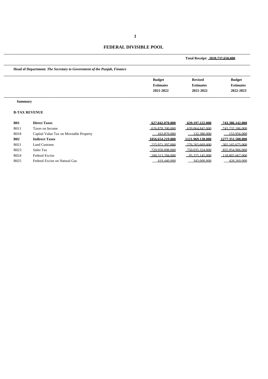# **FEDERAL DIVISIBLE POOL**

|                 |                                                                        |                                   | Total Receipt: 2020.737.650.000    |                                   |
|-----------------|------------------------------------------------------------------------|-----------------------------------|------------------------------------|-----------------------------------|
|                 | Head of Department: The Secretary to Government of the Punjab, Finance |                                   |                                    |                                   |
|                 |                                                                        | <b>Budget</b><br><b>Estimates</b> | <b>Revised</b><br><b>Estimates</b> | <b>Budget</b><br><b>Estimates</b> |
|                 |                                                                        | 2021-2022                         | 2021-2022                          | 2022-2023                         |
| <b>Summary</b>  |                                                                        |                                   |                                    |                                   |
|                 | <b>B-TAX REVENUE</b>                                                   |                                   |                                    |                                   |
| <b>B01</b>      | <b>Direct Taxes</b>                                                    | 627.042.070.000                   | 639.197.222.000                    | 743.386.142.000                   |
| <b>B011</b>     | Taxes on Income                                                        | 626.878.200.000                   | 639.064.842.000                    | 743.232.186.000                   |
| <b>B018</b>     | Capital Value Tax on Moveable Property                                 | 163.870.000                       | 132.380.000                        | 153.956.000                       |
| D <sub>02</sub> | $L$ <sub>nd</sub> $L$ <sub>ng</sub> $\sim$                             | 1056 654 210 000                  | 1191 040 120 000                   | 1977 351 500 000                  |

| <b>BUIS</b> | Capital Value I ax on Moveable Property | <u> 163.870.000 </u> | 132.380.000           | ווווו חרץ ררו      |
|-------------|-----------------------------------------|----------------------|-----------------------|--------------------|
| <b>B02</b>  | <b>Indirect Taxes</b>                   | 1056.654.219.000     | 1121.969.138.000      | 1277.351.508.000   |
| <b>B021</b> | Land Customs                            | $-225.971.397.000$   | $-276, 265, 669, 000$ | 302.165.675.000    |
| <b>B023</b> | Sales Tax                               | $-729.950.098.000$   | 750.035.324.000       | $-855.954.906.000$ |
| <b>B024</b> | Federal Excise                          | 100.313.284.000      | 95 325 145 000        | 118.802.667.000    |
| <b>B025</b> | Federal Excise on Natural Gas           | 419 440 000          | 343,000,000           | 428.260.000        |
|             |                                         |                      |                       |                    |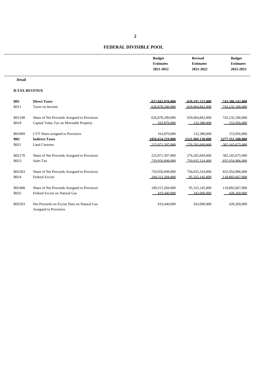# **FEDERAL DIVISIBLE POOL**

| <b>Budget</b>    | <b>Revised</b>   | <b>Budget</b>    |
|------------------|------------------|------------------|
| <b>Estimates</b> | <b>Estimates</b> | <b>Estimates</b> |
| 2021-2022        | 2021-2022        | 2022-2023        |
|                  |                  |                  |

#### **Detail**

#### **B-TAX REVENUE**

| <b>B01</b>    | <b>Direct Taxes</b>                                                 | 627.042.070.000  | 639.197.222.000    | 743.386.142.000    |
|---------------|---------------------------------------------------------------------|------------------|--------------------|--------------------|
| <b>B011</b>   | Taxes on Income                                                     | 626.878.200.000  | 639.064.842.000    | 743.232.186.000    |
| <b>B01108</b> | Share of Net Proceeds Assigned to Provinces                         | 626,878,200,000  | 639,064,842,000    | 743,232,186,000    |
| <b>B018</b>   | Capital Value Tax on Moveable Property                              | 163.870.000      | 132,380,000        | 153,956,000        |
| B01809        | CVT Share assigned to Provinces                                     | 163,870,000      | 132,380,000        | 153,956,000        |
| <b>B02</b>    | <b>Indirect Taxes</b>                                               | 1056.654.219.000 | 1121.969.138.000   | 1277.351.508.000   |
| <b>B021</b>   | <b>Land Customs</b>                                                 | 225 971 397 000  | 276 265 669 000    | $-302.165675000$   |
| B02170        | Share of Net Proceeds Assigned to Provinces                         | 225,971,397,000  | 276, 265, 669, 000 | 302,165,675,000    |
| <b>B023</b>   | Sales Tax                                                           | 729.950.098.000  | 750.035.324.000    | 855.954.906.000    |
| B02303        | Share of Net Proceeds Assigned to Provinces                         | 729,950,098,000  | 750,035,324,000    | 855,954,906,000    |
| <b>B024</b>   | <b>Federal Excise</b>                                               | 100 313 284 000  | 95.325.145.000     | $-118,802,667,000$ |
| <b>B02408</b> | Share of Net Proceeds Assigned to Provinces                         | 100,313,284,000  | 95, 325, 145, 000  | 118,802,667,000    |
| <b>B025</b>   | Federal Excise on Natural Gas                                       | 419 440 000      | 343,000,000        | 428.260.000        |
| <b>B02503</b> | Net Proceeds on Excise Duty on Natural Gas<br>Assigned to Provinces | 419,440,000      | 343,000,000        | 428,260,000        |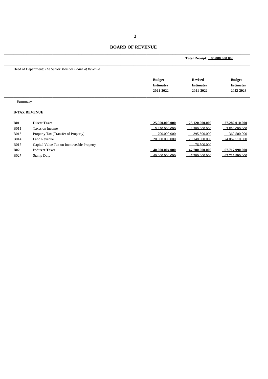\_\_\_\_\_\_\_\_\_\_\_\_\_\_\_\_\_\_\_\_\_\_\_\_\_\_\_\_\_\_\_\_\_\_\_\_\_\_\_\_\_\_\_\_\_\_\_\_\_\_\_\_\_\_\_\_\_\_\_\_\_\_\_\_\_\_\_\_\_\_\_\_\_\_\_\_

|                |                                                        |                   | Total Receipt: 95,000,000,000 |                   |
|----------------|--------------------------------------------------------|-------------------|-------------------------------|-------------------|
|                | Head of Department: The Senior Member Board of Revenue |                   |                               |                   |
|                |                                                        | <b>Budget</b>     | <b>Revised</b>                | <b>Budget</b>     |
|                |                                                        | <b>Estimates</b>  | <b>Estimates</b>              | <b>Estimates</b>  |
|                |                                                        | 2021-2022         | 2021-2022                     | 2022-2023         |
| <b>Summary</b> |                                                        |                   |                               |                   |
|                | <b>B-TAX REVENUE</b>                                   |                   |                               |                   |
| <b>B01</b>     | <b>Direct Taxes</b>                                    | 25.950.000.000    | 23.120.000.000                | 27,282,010,000    |
| <b>B011</b>    | Taxes on Income                                        | 5.250.000.000     | 2.500.000.000                 | 2.850,000,000     |
| <b>B013</b>    | Property Tax (Transfer of Property)                    | 700,000,000       | 395 500 000                   | 369 500 000       |
| <b>B014</b>    | <b>Land Revenue</b>                                    | $-20,000,000,000$ | 20.148.000.000                | $-24.062.510.000$ |
| <b>B017</b>    | Capital Value Tax on Immoveable Property               |                   | 76.500.000                    |                   |
| <b>B02</b>     | <b>Indirect Taxes</b>                                  | 40,000,004,000    | 47,700,000,000                | 67.717.990.000    |
| <b>B027</b>    | <b>Stamp Duty</b>                                      | 40,000,004,000    | 47.700.000.000                | 67 717 990 000    |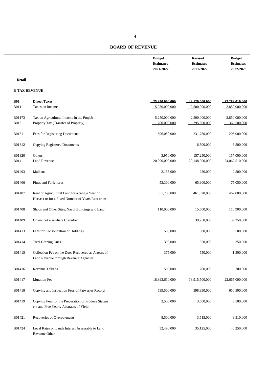| <b>Budget</b>    | <b>Revised</b>   | <b>Budget</b>    |
|------------------|------------------|------------------|
| <b>Estimates</b> | <b>Estimates</b> | <b>Estimates</b> |
| 2021-2022        | 2021-2022        | 2022-2023        |
|                  |                  |                  |

**Detail**

#### **B-TAX REVENUE**

| <b>B01</b>    | <b>Direct Taxes</b>                                                                                | 25.950.000.000    | 23.120.000.000               | 27.282.010.000 |
|---------------|----------------------------------------------------------------------------------------------------|-------------------|------------------------------|----------------|
| <b>B011</b>   | Taxes on Income                                                                                    | 5.250.000.000     | 2.500,000,000                | 2.850,000,000  |
|               |                                                                                                    |                   |                              |                |
| B01173        | Tax on Agricultural Income in the Punjab                                                           | 5,250,000,000     | 2,500,000,000<br>395,500,000 | 2,850,000,000  |
| <b>B013</b>   | Property Tax (Transfer of Property)                                                                | 700.000.000       |                              | 369.500.000    |
| B01311        | Fees for Registering Documents                                                                     | 696,050,000       | 231,750,000                  | 206,000,000    |
| B01312        | <b>Copying Registered Documents</b>                                                                |                   | 6,500,000                    | 6,500,000      |
| B01320        | Others                                                                                             | 3,950,000         | 157,250,000                  | 157,000,000    |
| <b>B014</b>   | <b>Land Revenue</b>                                                                                | $-20,000,000,000$ | 20 148 000 000               | 24 062 510 000 |
| B01403        | Malkana                                                                                            | 2,155,000         | 250,000                      | 2,500,000      |
| <b>B01406</b> | Fines and Forfeitures                                                                              | 53,300,000        | 65,900,000                   | 75,050,000     |
| B01407        | Rent of Agricultural Land for a Single Year or<br>Harvest or for a Fixed Number of Years Rent from | 851,700,000       | 461,620,000                  | 462,000,000    |
| <b>B01408</b> | Shops and Other Sites, Nazul Buildings and Land                                                    | 110,900,000       | 15,500,000                   | 110,900,000    |
| B01409        | Others not elsewhere Classified                                                                    |                   | 39,250,000                   | 39,250,000     |
| B01413        | Fees for Consolidation of Holdings                                                                 | 500,000           | 500,000                      | 500,000        |
| B01414        | Tirni Grazing Dues                                                                                 | 390,000           | 350,000                      | 350,000        |
| B01415        | Collection Fee on the Dues Recovered as Arrears of<br>Land Revenue through Revenue Agencies.       | 375,000           | 550,000                      | 1,500,000      |
| B01416        | Revenue Talbana                                                                                    | 500,000           | 700,000                      | 700,000        |
| B01417        | <b>Mutation Fee</b>                                                                                | 18,393,610,000    | 18,915,500,000               | 22,665,000,000 |
| B01418        | Copying and Inspection Fees of Patwaries Record                                                    | 539,500,000       | 598,990,000                  | 650,500,000    |
| B01419        | Copying Fees for the Preparation of Produce Statem<br>ent and Five Yearly Abstracts of Yield       | 3,500,000         | 3,500,000                    | 3,500,000      |
| B01421        | Recoveries of Overpayments                                                                         | 8,500,000         | 3,515,000                    | 3,510,000      |
| B01424        | Local Rates on Lands Interest Assessable to Land<br>Revenue Other                                  | 32,490,000        | 35,125,000                   | 40,250,000     |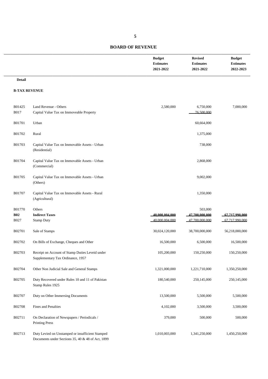| <b>Budget</b>    | <b>Revised</b>   | <b>Budget</b>    |
|------------------|------------------|------------------|
| <b>Estimates</b> | <b>Estimates</b> | <b>Estimates</b> |
| 2021-2022        | 2021-2022        | 2022-2023        |
|                  |                  |                  |

#### **Detail**

#### **B-TAX REVENUE**

| B01425<br><b>B017</b> | Land Revenue - Others<br>Capital Value Tax on Immoveable Property                                     | 2,580,000      | 6,750,000<br>76.500.000 | 7,000,000      |
|-----------------------|-------------------------------------------------------------------------------------------------------|----------------|-------------------------|----------------|
| B01701                | Urban                                                                                                 |                | 60,664,000              |                |
| B01702                | Rural                                                                                                 |                | 1,375,000               |                |
| B01703                | Capital Value Tax on Immovable Assets - Urban<br>(Residential)                                        |                | 738,000                 |                |
| B01704                | Capital Value Tax on Immovable Assets - Urban<br>(Commercial)                                         |                | 2,868,000               |                |
| B01705                | Capital Value Tax on Immovable Assets - Urban<br>(Others)                                             |                | 9,002,000               |                |
| B01707                | Capital Value Tax on Immovable Assets - Rural<br>(Agricultural)                                       |                | 1,350,000               |                |
| B01770                | Others                                                                                                |                | 503,000                 |                |
| <b>B02</b>            | <b>Indirect Taxes</b>                                                                                 | 40,000,004,000 | 47,700,000,000          | 67.717.990.000 |
| B027                  | <b>Stamp Duty</b>                                                                                     | 40 000 004 000 | 47 700 000 000          | 67,717,990,000 |
| B02701                | Sale of Stamps                                                                                        | 30,024,120,000 | 38,700,000,000          | 56,218,000,000 |
| B02702                | On Bills of Exchange, Cheques and Other                                                               | 16,500,000     | 6,500,000               | 16,500,000     |
| B02703                | Receipt on Account of Stamp Duties Leveid under<br>Supplementary Tax Ordinance, 1957                  | 105,200,000    | 150,250,000             | 150,250,000    |
| B02704                | Other Non Judicial Sale and General Stamps                                                            | 1,321,000,000  | 1,221,710,000           | 1,350,250,000  |
| B02705                | Duty Recovered under Rules 10 and 11 of Pakistan<br>Stamp Rules 1925                                  | 180,540,000    | 250,145,000             | 250,145,000    |
| B02707                | Duty on Other Immersing Documents                                                                     | 13,500,000     | 5,500,000               | 5,500,000      |
| B02708                | Fines and Penalties                                                                                   | 4,102,000      | 3,500,000               | 3,500,000      |
| B02711                | On Declaration of Newspapers / Periodicals /<br><b>Printing Press</b>                                 | 379,000        | 500,000                 | 500,000        |
| B02713                | Duty Levied on Unstamped or insufficient Stamped<br>Documents under Sections 35, 40 & 48 of Act, 1899 | 1,010,003,000  | 1,341,250,000           | 1,450,250,000  |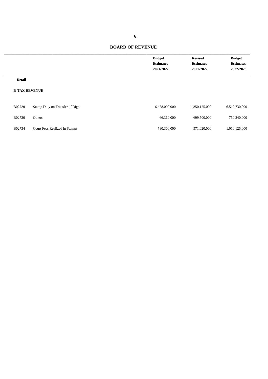|                      |                                 | <b>Budget</b><br><b>Estimates</b><br>2021-2022 | <b>Revised</b><br><b>Estimates</b><br>2021-2022 | <b>Budget</b><br><b>Estimates</b><br>2022-2023 |
|----------------------|---------------------------------|------------------------------------------------|-------------------------------------------------|------------------------------------------------|
| <b>Detail</b>        |                                 |                                                |                                                 |                                                |
| <b>B-TAX REVENUE</b> |                                 |                                                |                                                 |                                                |
| B02720               | Stamp Duty on Transfer of Right | 6,478,000,000                                  | 4,350,125,000                                   | 6,512,730,000                                  |
| B02730               | Others                          | 66,360,000                                     | 699,500,000                                     | 750,240,000                                    |
| B02734               | Court Fees Realized in Stamps   | 780,300,000                                    | 971,020,000                                     | 1,010,125,000                                  |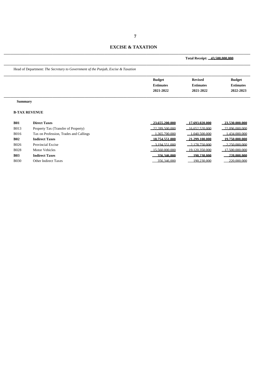#### **EXCISE & TAXATION**

\_\_\_\_\_\_\_\_\_\_\_\_\_\_\_\_\_\_\_\_\_\_\_\_\_\_\_\_\_\_\_\_\_\_\_\_\_\_\_\_\_\_\_\_\_\_\_\_\_\_\_\_\_\_\_\_\_\_\_\_\_\_\_\_\_\_\_\_\_\_\_\_\_\_\_\_

|                |                                                                                  |                                                | Total Receipt: 43,500,000,000                   |                                                |  |
|----------------|----------------------------------------------------------------------------------|------------------------------------------------|-------------------------------------------------|------------------------------------------------|--|
|                | Head of Department: The Secretary to Government of the Punjab, Excise & Taxation |                                                |                                                 |                                                |  |
|                |                                                                                  | <b>Budget</b><br><b>Estimates</b><br>2021-2022 | <b>Revised</b><br><b>Estimates</b><br>2021-2022 | <b>Budget</b><br><b>Estimates</b><br>2022-2023 |  |
| <b>Summary</b> |                                                                                  |                                                |                                                 |                                                |  |
|                | <b>B-TAX REVENUE</b>                                                             |                                                |                                                 |                                                |  |
| <b>B01</b>     | <b>Direct Taxes</b>                                                              | 23.655.200.000                                 | 17.693.020.000                                  | $-23.530.000.000$                              |  |
| <b>B013</b>    | Property Tax (Transfer of Property)                                              | 22.289.500.000                                 | 16.652.520.000                                  | 22,096,000,000                                 |  |
| <b>B016</b>    | Tax on Profession, Trades and Callings                                           | 365 700 000                                    | 1.040.500.000                                   | 1.434,000,000                                  |  |
| <b>B02</b>     | <b>Indirect Taxes</b>                                                            | 18.754.551.000                                 | 21.299.100.000                                  | 19,750,000,000                                 |  |
| <b>B026</b>    | <b>Provincial Excise</b>                                                         | 3.194.551.000                                  | 2.178.750.000                                   | $-2.250,000,000$                               |  |
| <b>B028</b>    | <b>Motor Vehicles</b>                                                            | 15.560.000.000                                 | 19 120 350 000                                  | 17.500.000.000                                 |  |
| <b>B03</b>     | <b>Indirect Taxes</b>                                                            | 356.346.000                                    | 190.230.000                                     | 220.000.000                                    |  |
| <b>B030</b>    | Other Indirect Taxes                                                             | 356 346 000                                    | 190.230.000                                     | 220,000,000                                    |  |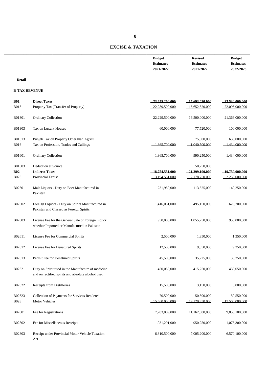# **EXCISE & TAXATION**

| <b>Budget</b>    | <b>Revised</b>   | <b>Budget</b>    |
|------------------|------------------|------------------|
| <b>Estimates</b> | <b>Estimates</b> | <b>Estimates</b> |
| 2021-2022        | 2021-2022        | 2022-2023        |
|                  |                  |                  |

#### **Detail**

#### **B-TAX REVENUE**

| <b>B01</b>     | <b>Direct Taxes</b>                                                                                      | 23.655.200.000               | 17.693.020.000               | 23.530.000.000               |
|----------------|----------------------------------------------------------------------------------------------------------|------------------------------|------------------------------|------------------------------|
| <b>B013</b>    | Property Tax (Transfer of Property)                                                                      | 22.289.500.000               | 16.652.520.000               | 22.096.000.000               |
| B01301         | Ordinary Collection                                                                                      | 22,229,500,000               | 16,500,000,000               | 21,366,000,000               |
| B01303         | Tax on Luxury Houses                                                                                     | 60,000,000                   | 77,520,000                   | 100,000,000                  |
| B01313         | Punjab Tax on Property Other than Agricu                                                                 |                              | 75,000,000                   | 630,000,000                  |
| <b>B016</b>    | Tax on Profession, Trades and Callings                                                                   | 1.365.700.000                | 1 040 500 000                | 1.434.000.000                |
| B01601         | Ordinary Collection                                                                                      | 1,365,700,000                | 990,250,000                  | 1,434,000,000                |
| B01603         | Deduction at Source                                                                                      |                              | 50,250,000                   |                              |
| <b>B02</b>     | <b>Indirect Taxes</b>                                                                                    | 18.754.551.000               | 21.299.100.000               | 19.750.000.000               |
| <b>B026</b>    | Provincial Excise                                                                                        | 3 194 551 000                | 2.178.750.000                | 2.250.000.000                |
| B02601         | Malt Liquors - Duty on Beer Manufactured in<br>Pakistan                                                  | 231,950,000                  | 113,525,000                  | 140,250,000                  |
| B02602         | Foreign Liquors - Duty on Spirits Manufactured in<br>Pakistan and Classed as Foreign Spirits             | 1,416,051,000                | 495,150,000                  | 628,200,000                  |
| B02603         | License Fee for the General Sale of Foreign Liquor<br>whether Imported or Manufactured in Pakistan       | 950,000,000                  | 1,055,250,000                | 950,000,000                  |
| B02611         | License Fee for Commercial Spirits                                                                       | 2,500,000                    | 1,350,000                    | 1,350,000                    |
| B02612         | License Fee for Denatured Spirits                                                                        | 12,500,000                   | 9,350,000                    | 9,350,000                    |
| B02613         | Permit Fee for Denatured Spirits                                                                         | 45,500,000                   | 35,225,000                   | 35,250,000                   |
| B02621         | Duty on Spirit used in the Manufacture of medicine<br>and on rectified spirits and absolute alcohol used | 450,050,000                  | 415,250,000                  | 430,050,000                  |
| B02622         | Receipts from Distilleries                                                                               | 15,500,000                   | 3,150,000                    | 5,000,000                    |
| B02623<br>B028 | Collection of Payments for Services Rendered<br>Motor Vehicles                                           | 70,500,000<br>15 560 000 000 | 50,500,000<br>19.120.350.000 | 50,550,000<br>17.500.000.000 |
| B02801         | Fee for Registrations                                                                                    | 7,703,009,000                | 11,162,000,000               | 9,850,100,000                |
| B02802         | Fee for Miscellaneous Receipts                                                                           | 1,031,291,000                | 950,250,000                  | 1,075,300,000                |
| B02803         | Receipt under Provincial Motor Vehicle Taxation<br>Act                                                   | 6,810,500,000                | 7,005,200,000                | 6,570,100,000                |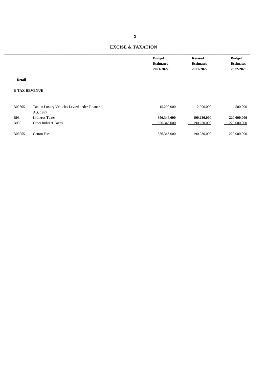#### **EXCISE & TAXATION**

| <b>Budget</b>    | <b>Revised</b>   | <b>Budget</b>    |
|------------------|------------------|------------------|
| <b>Estimates</b> | <b>Estimates</b> | <b>Estimates</b> |
| 2021-2022        | 2021-2022        | 2022-2023        |
|                  |                  |                  |

#### **Detail**

#### **B-TAX REVENUE**

| B02805      | Tax on Luxury Vehicles Levied under Finance | 15,200,000  | 2,900,000   | 4,500,000   |
|-------------|---------------------------------------------|-------------|-------------|-------------|
|             | Act. 1997                                   |             |             |             |
| <b>B03</b>  | <b>Indirect Taxes</b>                       | 356,346,000 | 190.230.000 | 220,000,000 |
| <b>B030</b> | <b>Other Indirect Taxes</b>                 | 356.346.000 | 190.230.000 | 220,000,000 |
|             |                                             |             |             |             |
| B03055      | Cotton Fees                                 | 356,346,000 | 190,230,000 | 220,000,000 |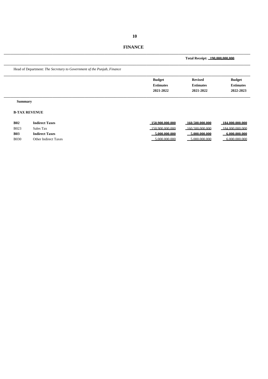|                |                                                                        |                  | Total Receipt: 190,000,000,000 |                    |  |
|----------------|------------------------------------------------------------------------|------------------|--------------------------------|--------------------|--|
|                | Head of Department: The Secretary to Government of the Punjab, Finance |                  |                                |                    |  |
|                |                                                                        | <b>Budget</b>    | <b>Revised</b>                 | <b>Budget</b>      |  |
|                |                                                                        | <b>Estimates</b> | <b>Estimates</b>               | <b>Estimates</b>   |  |
|                |                                                                        | 2021-2022        | 2021-2022                      | 2022-2023          |  |
| <b>Summary</b> |                                                                        |                  |                                |                    |  |
|                | <b>B-TAX REVENUE</b>                                                   |                  |                                |                    |  |
| <b>B02</b>     | <b>Indirect Taxes</b>                                                  | 150,900,000,000  | 160.500.000.000                | 184,000,000,000    |  |
| <b>B023</b>    | Sales Tax                                                              | 150,900,000,000  | $-160.500.000.000$             | $-184,000,000,000$ |  |
| <b>B03</b>     | <b>Indirect Taxes</b>                                                  | 5,000,000,000    | 5.000.000.000                  | 6.000.000.000      |  |
| <b>B030</b>    | <b>Other Indirect Taxes</b>                                            | $-500000000$     | 5,000,000,000                  | 6,000,000,000      |  |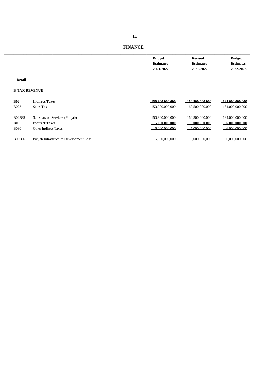| <b>Budget</b>    | <b>Revised</b>   | <b>Budget</b>    |
|------------------|------------------|------------------|
| <b>Estimates</b> | <b>Estimates</b> | <b>Estimates</b> |
| 2021-2022        | 2021-2022        | 2022-2023        |
|                  |                  |                  |

#### **Detail**

#### **B-TAX REVENUE**

| <b>B02</b>  | <b>Indirect Taxes</b>                  | 150,900,000,000 | 160.500.000.000 | 184,000,000,000 |
|-------------|----------------------------------------|-----------------|-----------------|-----------------|
| <b>B023</b> | Sales Tax                              | 150.900.000.000 | 160.500.000.000 | 184,000,000,000 |
| B02385      | Sales tax on Services (Punjab)         | 150,900,000,000 | 160,500,000,000 | 184,000,000,000 |
| <b>B03</b>  | <b>Indirect Taxes</b>                  | 5.000.000.000   | 5.000.000.000   | 6.000.000.000   |
| <b>B030</b> | Other Indirect Taxes                   | 5.000.000.000   | 5.000.000.000   | 6.000.000.000   |
| B03086      | Punjab Infrastructure Development Cess | 5,000,000,000   | 5.000.000.000   | 6.000.000.000   |

# **FINANCE**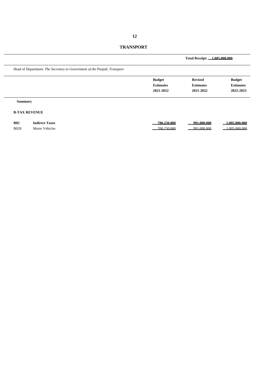| <b>TRANSPORT</b> |  |
|------------------|--|
|------------------|--|

|                |                                                                          |                                                | Total Receipt: 1.005.000.000                    |                                                |
|----------------|--------------------------------------------------------------------------|------------------------------------------------|-------------------------------------------------|------------------------------------------------|
|                | Head of Department: The Secretary to Government of the Punjab, Transport |                                                |                                                 |                                                |
|                |                                                                          | <b>Budget</b><br><b>Estimates</b><br>2021-2022 | <b>Revised</b><br><b>Estimates</b><br>2021-2022 | <b>Budget</b><br><b>Estimates</b><br>2022-2023 |
| <b>Summary</b> |                                                                          |                                                |                                                 |                                                |
|                | <b>B-TAX REVENUE</b>                                                     |                                                |                                                 |                                                |
| <b>B02</b>     | <b>Indirect Taxes</b>                                                    | 700.250.000                                    | 991.000.000                                     | 1.005.000.000                                  |
| <b>B028</b>    | <b>Motor Vehicles</b>                                                    | 700.250.000                                    | 991.000.000                                     | 1.005.000.000                                  |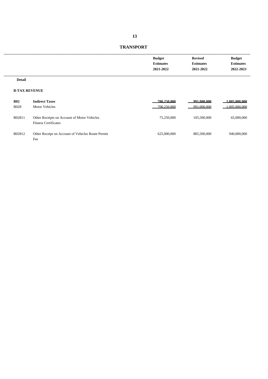| <b>Budget</b>    | <b>Revised</b>   | <b>Budget</b>    |
|------------------|------------------|------------------|
| <b>Estimates</b> | <b>Estimates</b> | <b>Estimates</b> |
| 2021-2022        | 2021-2022        | 2022-2023        |
|                  |                  |                  |

#### **Detail**

#### **B-TAX REVENUE**

| <b>B02</b><br><b>B028</b> | <b>Indirect Taxes</b><br><b>Motor Vehicles</b>                             | 700.250.000<br>700.250.000 | 991.000.000<br>991.000.000 | 1.005.000.000<br>1.005.000.000 |
|---------------------------|----------------------------------------------------------------------------|----------------------------|----------------------------|--------------------------------|
| B02811                    | Other Receipts on Account of Motor Vehicles<br><b>Fitness Certificates</b> | 75,250,000                 | 105,500,000                | 65,000,000                     |
| B02812                    | Other Receipt on Account of Vehicles Route Permit<br>Fee                   | 625,000,000                | 885,500,000                | 940,000,000                    |

# **TRANSPORT**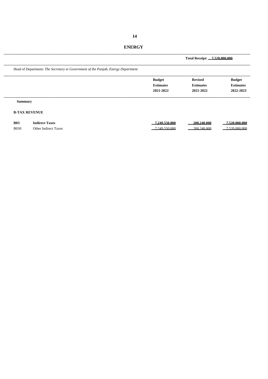|                           |                                                                                  |                                                | Total Receipt: 7.520.000.000                    |                                                |
|---------------------------|----------------------------------------------------------------------------------|------------------------------------------------|-------------------------------------------------|------------------------------------------------|
|                           | Head of Department: The Secretary to Government of the Punjab, Energy Department |                                                |                                                 |                                                |
|                           |                                                                                  | <b>Budget</b><br><b>Estimates</b><br>2021-2022 | <b>Revised</b><br><b>Estimates</b><br>2021-2022 | <b>Budget</b><br><b>Estimates</b><br>2022-2023 |
| <b>Summary</b>            |                                                                                  |                                                |                                                 |                                                |
|                           | <b>B-TAX REVENUE</b>                                                             |                                                |                                                 |                                                |
| <b>B03</b><br><b>B030</b> | <b>Indirect Taxes</b><br><b>Other Indirect Taxes</b>                             | 7.249.550.000<br>7.249.550.000                 | 200.240.000<br>200.240.000                      | 7.520.000.000<br>7.520.000.000                 |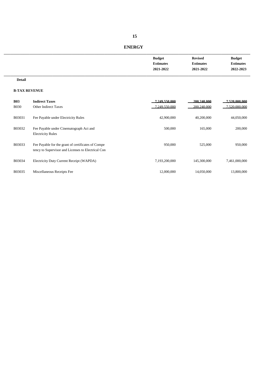| <b>ENERGY</b> |  |
|---------------|--|
|               |  |

| <b>Budget</b>    | <b>Revised</b>   | <b>Budget</b>    |
|------------------|------------------|------------------|
| <b>Estimates</b> | <b>Estimates</b> | <b>Estimates</b> |
| 2021-2022        | 2021-2022        | 2022-2023        |
|                  |                  |                  |

#### **Detail**

#### **B-TAX REVENUE**

| <b>B03</b><br><b>B030</b> | <b>Indirect Taxes</b><br><b>Other Indirect Taxes</b>                                                     | 7.249.550.000<br>7.249.550.000 | 200.240.000<br>200.240.000 | 7.520.000.000<br>7.520.000.000 |
|---------------------------|----------------------------------------------------------------------------------------------------------|--------------------------------|----------------------------|--------------------------------|
| B03031                    | Fee Payable under Electricity Rules                                                                      | 42,900,000                     | 40,200,000                 | 44,050,000                     |
| B03032                    | Fee Payable under Cinematograph Act and<br><b>Electricity Rules</b>                                      | 500,000                        | 165,000                    | 200,000                        |
| B03033                    | Fee Payable for the grant of certificates of Compe<br>tency to Supervisor and Licenses to Electrical Con | 950,000                        | 525,000                    | 950,000                        |
| B03034                    | Electricity Duty Current Receipt (WAPDA)                                                                 | 7.193.200.000                  | 145,300,000                | 7.461.000.000                  |
| B03035                    | Miscellaneous Receipts Fee                                                                               | 12,000,000                     | 14,050,000                 | 13,800,000                     |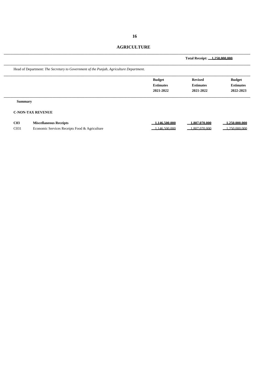# **AGRICULTURE**

|                                     |                                                                                        |                                                | Total Receipt: 1.250.000.000                    |                                                |
|-------------------------------------|----------------------------------------------------------------------------------------|------------------------------------------------|-------------------------------------------------|------------------------------------------------|
|                                     | Head of Department: The Secretary to Government of the Punjab, Agriculture Department. |                                                |                                                 |                                                |
|                                     |                                                                                        | <b>Budget</b><br><b>Estimates</b><br>2021-2022 | <b>Revised</b><br><b>Estimates</b><br>2021-2022 | <b>Budget</b><br><b>Estimates</b><br>2022-2023 |
| <b>Summary</b>                      |                                                                                        |                                                |                                                 |                                                |
|                                     | <b>C-NON-TAX REVENUE</b>                                                               |                                                |                                                 |                                                |
| C <sub>03</sub><br>C <sub>031</sub> | <b>Miscellaneous Receipts</b><br>Economic Services Receipts Food & Agriculture         | .146.500.000<br>.146.500.000                   | 1.807.070.000<br>1.807.070.000                  | 1.250.000.000<br>1.250.000.000                 |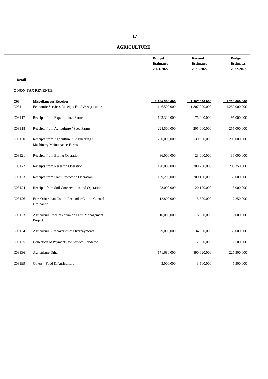# **AGRICULTURE**

| <b>Budget</b>    | <b>Revised</b>   | <b>Budget</b>    |
|------------------|------------------|------------------|
| <b>Estimates</b> | <b>Estimates</b> | <b>Estimates</b> |
| 2021-2022        | 2021-2022        | 2022-2023        |
|                  |                  |                  |

#### **Detail**

| C <sub>03</sub><br>C031 | <b>Miscellaneous Receipts</b><br>Economic Services Receipts Food & Agriculture  | 1.146.500.000<br>1.146.500.000 | 1.807.070.000<br>1.807.070.000 | 1.250.000.000<br>1.250.000.000 |
|-------------------------|---------------------------------------------------------------------------------|--------------------------------|--------------------------------|--------------------------------|
| C03117                  | Receipts from Experimental Farms                                                | 103,320,000                    | 75,000,000                     | 95,000,000                     |
| C03118                  | Receipts from Agriculture / Seed Farms                                          | 228,500,000                    | 205,000,000                    | 255,000,000                    |
| C03120                  | Receipts from Agriculture / Engineering /<br><b>Machinery Maintenance Farms</b> | 200,000,000                    | 130,500,000                    | 200,000,000                    |
| C03121                  | Receipts from Boring Operation                                                  | 36,000,000                     | 23,000,000                     | 36,000,000                     |
| C03122                  | Receipts from Research Operation                                                | 190,000,000                    | 200,200,000                    | 200,250,000                    |
| C03123                  | Receipts from Plant Protection Operation                                        | 139,200,000                    | 200,100,000                    | 150,000,000                    |
| C03124                  | Receipts from Soil Conservation and Operation                                   | 23,000,000                     | 20,100,000                     | 18,000,000                     |
| C03126                  | Fees Other than Cotton Fee under Cotton Control<br>Ordinance                    | 12,800,000                     | 5,500,000                      | 7,250,000                      |
| C03133                  | Agriculture Receipts from on Farm Management<br>Project                         | 10,000,000                     | 6,800,000                      | 10,000,000                     |
| C03134                  | Agriculture - Recoveries of Overpayments                                        | 29,000,000                     | 34,250,000                     | 35,000,000                     |
| C03135                  | Collection of Payments for Service Rendered                                     |                                | 12,500,000                     | 12,500,000                     |
| C03136                  | Agriculture Other                                                               | 171,680,000                    | 890,620,000                    | 225,500,000                    |
| C03199                  | Others - Food & Agriculture                                                     | 3,000,000                      | 3,500,000                      | 5,500,000                      |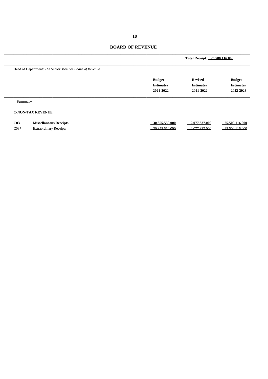|                                                        |                                                | Total Receipt: 25.500.116.000                   |                                                |
|--------------------------------------------------------|------------------------------------------------|-------------------------------------------------|------------------------------------------------|
| Head of Department: The Senior Member Board of Revenue |                                                |                                                 |                                                |
|                                                        | <b>Budget</b><br><b>Estimates</b><br>2021-2022 | <b>Revised</b><br><b>Estimates</b><br>2021-2022 | <b>Budget</b><br><b>Estimates</b><br>2022-2023 |
| <b>Summary</b>                                         |                                                |                                                 |                                                |
| <b>C-NON-TAX REVENUE</b>                               |                                                |                                                 |                                                |
| C <sub>03</sub><br><b>Miscellaneous Receipts</b>       | 30.355.550.000                                 | 2.077.337.000                                   | 25.500.116.000                                 |

\_\_\_\_\_\_\_\_\_\_\_\_\_\_\_\_\_\_\_\_\_\_\_\_\_\_\_\_\_\_\_\_\_\_\_\_\_\_\_\_\_\_\_\_\_\_\_\_\_\_\_\_\_\_\_\_\_\_\_\_\_\_\_\_\_\_\_\_\_\_\_\_\_\_\_\_

**C03 Miscellaneous Receipts 30,355,550,000 2,077,337,000 25,500,116,000** C037 Extraordinary Receipts 30,355,550,000 2,077,337,000 25,500,116,000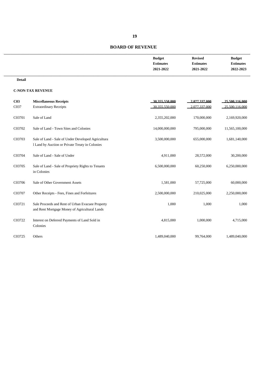| <b>Budget</b>    | <b>Revised</b>   | <b>Budget</b>    |
|------------------|------------------|------------------|
| <b>Estimates</b> | <b>Estimates</b> | <b>Estimates</b> |
| 2021-2022        | 2021-2022        | 2022-2023        |
|                  |                  |                  |

#### **Detail**

| C <sub>03</sub><br>C037 | <b>Miscellaneous Receipts</b><br><b>Extraordinary Receipts</b>                                        | 30.355.550.000<br>30.355.550.000 | 2.077.337.000<br>2.077.337.000 | 25,500,116,000<br>25,500,116,000 |
|-------------------------|-------------------------------------------------------------------------------------------------------|----------------------------------|--------------------------------|----------------------------------|
| C03701                  | Sale of Land                                                                                          | 2,355,202,000                    | 170,000,000                    | 2,169,920,000                    |
| C03702                  | Sale of Land - Town Sites and Colonies                                                                | 14,000,000,000                   | 795,000,000                    | 11,565,100,000                   |
| C03703                  | Sale of Land - Sale of Under Developed Agricultura<br>1 Land by Auction or Private Treaty in Colonies | 3,500,000,000                    | 655,000,000                    | 1,681,140,000                    |
| C03704                  | Sale of Land - Sale of Under                                                                          | 4,911,000                        | 28,572,000                     | 30,200,000                       |
| C03705                  | Sale of Land - Sale of Propriety Rights to Tenants<br>in Colonies                                     | 6,500,000,000                    | 60,250,000                     | 6,250,000,000                    |
| C03706                  | Sale of Other Government Assets                                                                       | 1,581,000                        | 57,725,000                     | 60,000,000                       |
| C03707                  | Other Receipts - Fees, Fines and Forfeitures                                                          | 2,500,000,000                    | 210,025,000                    | 2,250,000,000                    |
| C03721                  | Sale Proceeds and Rent of Urban Evacuee Property<br>and Rent Mortgage Money of Agricultural Lands     | 1,000                            | 1,000                          | 1,000                            |
| C03722                  | Interest on Deferred Payments of Land Sold in<br>Colonies                                             | 4,815,000                        | 1,000,000                      | 4,715,000                        |
| C03725                  | Others                                                                                                | 1,489,040,000                    | 99,764,000                     | 1,489,040,000                    |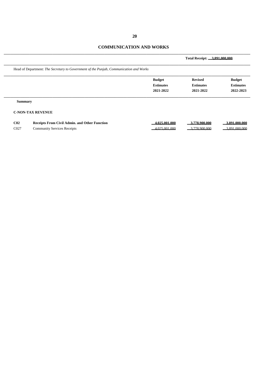# **COMMUNICATION AND WORKS**

|                                                                                                                                       |                                                | Total Receipt: 3.891.000.000                    |                                                |  |
|---------------------------------------------------------------------------------------------------------------------------------------|------------------------------------------------|-------------------------------------------------|------------------------------------------------|--|
| Head of Department: The Secretary to Government of the Punjab, Communication and Works                                                |                                                |                                                 |                                                |  |
|                                                                                                                                       | <b>Budget</b><br><b>Estimates</b><br>2021-2022 | <b>Revised</b><br><b>Estimates</b><br>2021-2022 | <b>Budget</b><br><b>Estimates</b><br>2022-2023 |  |
| <b>Summary</b>                                                                                                                        |                                                |                                                 |                                                |  |
| <b>C-NON-TAX REVENUE</b>                                                                                                              |                                                |                                                 |                                                |  |
| $\alpha$<br>$D_{\text{model}}$ $D_{\text{model}}$ $D_{\text{model}}$ $A$ $A_{\text{model}}$ and $A_{\text{model}}$ $D_{\text{model}}$ | 4.025.001.000                                  | 2.770.000.000                                   | 2.001.000.000                                  |  |

| CO2  | Receipts From Civil Admin. and Other Function | $\alpha$ or $\alpha$<br>.001.000<br>. | 1.778.900.000 | 3 SQ1<br>.000.000 |
|------|-----------------------------------------------|---------------------------------------|---------------|-------------------|
| C027 | Community Services Receipts                   | 025.001.000                           | 3.778.900.000 | 3.891.000.000     |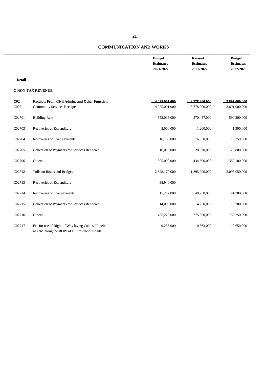#### **COMMUNICATION AND WORKS**

| <b>Budget</b>    | <b>Revised</b>   | <b>Budget</b>    |
|------------------|------------------|------------------|
| <b>Estimates</b> | <b>Estimates</b> | <b>Estimates</b> |
| 2021-2022        | 2021-2022        | 2022-2023        |
|                  |                  |                  |

**Detail**

| C <sub>02</sub><br>C027 | Receipts From Civil Admin. and Other Function<br><b>Community Services Receipts</b>                  | 4.025.001.000<br>4.025.001.000 | 3.778.900.000<br>3.778.900.000 | 3.891.000.000<br>3.891.000.000 |
|-------------------------|------------------------------------------------------------------------------------------------------|--------------------------------|--------------------------------|--------------------------------|
| C02701                  | <b>Building Rent</b>                                                                                 | 552,015,000                    | 570,457,000                    | 590,200,000                    |
| C02703                  | Recoveries of Expenditure                                                                            | 5,000,000                      | 1,260,000                      | 1,300,000                      |
| C02704                  | Recoveries of Over payments                                                                          | 16,166,000                     | 16,550,000                     | 18,250,000                     |
| C02705                  | Collection of Payments for Services Rendered                                                         | 16,018,000                     | 20,570,000                     | 20,800,000                     |
| C02706                  | Others                                                                                               | 305,000,000                    | 434,500,000                    | 350,100,000                    |
| C02712                  | Tolls on Roads and Bridges                                                                           | 2,628,170,000                  | 1,895,200,000                  | 2,093,050,000                  |
| C02713                  | Recoveries of Expenditure                                                                            | 38,940,000                     |                                |                                |
| C02714                  | Recoveries of Overpayments                                                                           | 15,217,000                     | 40,250,000                     | 41,200,000                     |
| C02715                  | Collection of Payments for Services Rendered                                                         | 14,000,000                     | 14,250,000                     | 15,200,000                     |
| C02716                  | Others                                                                                               | 425,220,000                    | 775,300,000                    | 750,250,000                    |
| C02717                  | Fee for use of Right of Way laying Cables / Pipeli<br>nes etc. along the ROW of all Provincial Roads | 9,255,000                      | 10,563,000                     | 10,650,000                     |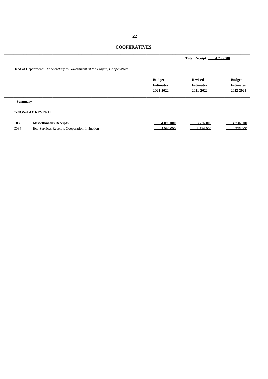#### **COOPERATIVES**

|                                      |                                                                                |                                                | <b>Total Receipt:</b>                           | 4.736.000                                      |
|--------------------------------------|--------------------------------------------------------------------------------|------------------------------------------------|-------------------------------------------------|------------------------------------------------|
|                                      | Head of Department: The Secretary to Government of the Punjab, Cooperatives    |                                                |                                                 |                                                |
|                                      |                                                                                | <b>Budget</b><br><b>Estimates</b><br>2021-2022 | <b>Revised</b><br><b>Estimates</b><br>2021-2022 | <b>Budget</b><br><b>Estimates</b><br>2022-2023 |
| <b>Summary</b>                       | <b>C-NON-TAX REVENUE</b>                                                       |                                                |                                                 |                                                |
| C <sub>03</sub><br>C <sub>0</sub> 34 | <b>Miscellaneous Receipts</b><br>Eco.Services Receipts Cooperation, Irrigation | 4.090.000<br>4.090.000                         | 3.736.000<br>3.736.000                          | 4.736.000<br>4.736.000                         |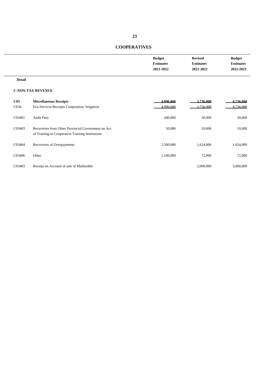# **COOPERATIVES**

| <b>Budget</b>    | <b>Revised</b>   | <b>Budget</b>    |
|------------------|------------------|------------------|
| <b>Estimates</b> | <b>Estimates</b> | <b>Estimates</b> |
| 2021-2022        | 2021-2022        | 2022-2023        |
|                  |                  |                  |

**Detail**

| C <sub>03</sub>   | <b>Miscellaneous Receipts</b>                                                                          | 4.090.000 | 3.736.000 | 4.736.000 |
|-------------------|--------------------------------------------------------------------------------------------------------|-----------|-----------|-----------|
| C <sub>0</sub> 34 | Eco.Services Receipts Cooperation, Irrigation                                                          | 4.090.000 | 3.736.000 | 4.736.000 |
| C03401            | <b>Audit Fees</b>                                                                                      | 440,000   | 30,000    | 30,000    |
| C03403            | Recoveries from Other Provincial Government on Acc<br>of Training in Cooperative Training Institutions | 50,000    | 10,000    | 10,000    |
|                   |                                                                                                        |           |           |           |
| C03404            | Recoveries of Overpayments                                                                             | 2,500,000 | 1,624,000 | 1,624,000 |
| C03406            | Other                                                                                                  | 1.100.000 | 72,000    | 72,000    |
| C03483            | Receipt on Account of sale of Marketable                                                               |           | 2,000,000 | 3,000,000 |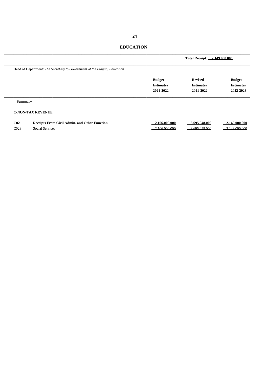# **EDUCATION**

|                  |                                                                          |                  | Total Receipt: 2.149.000.000 |                  |
|------------------|--------------------------------------------------------------------------|------------------|------------------------------|------------------|
|                  | Head of Department: The Secretary to Government of the Punjab, Education |                  |                              |                  |
|                  |                                                                          | <b>Budget</b>    | <b>Revised</b>               | <b>Budget</b>    |
|                  |                                                                          | <b>Estimates</b> | <b>Estimates</b>             | <b>Estimates</b> |
|                  |                                                                          | 2021-2022        | 2021-2022                    | 2022-2023        |
| <b>Summary</b>   |                                                                          |                  |                              |                  |
|                  | <b>C-NON-TAX REVENUE</b>                                                 |                  |                              |                  |
| C <sub>02</sub>  | <b>Receipts From Civil Admin. and Other Function</b>                     | 2.106.000.000    | 3.695.048.000                | 2.149.000.000    |
| C <sub>028</sub> | <b>Social Services</b>                                                   | 2.106.000.000    | 3.695.048.000                | 2.149.000.000    |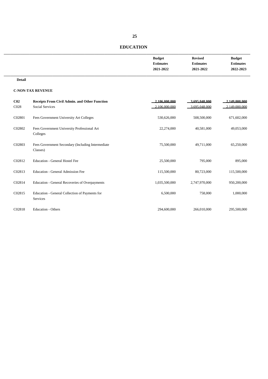| <b>Budget</b>    | <b>Revised</b>   | <b>Budget</b>    |
|------------------|------------------|------------------|
| <b>Estimates</b> | <b>Estimates</b> | <b>Estimates</b> |
| 2021-2022        | 2021-2022        | 2022-2023        |
|                  |                  |                  |

#### **Detail**

| C <sub>02</sub>  | Receipts From Civil Admin. and Other Function                 | 2.106.000.000 | 3.695.048.000 | 2.149.000.000 |
|------------------|---------------------------------------------------------------|---------------|---------------|---------------|
| C <sub>028</sub> | <b>Social Services</b>                                        | 2.106.000.000 | 3.695.048.000 | 2.149.000.000 |
| C02801           | Fees Government University Art Colleges                       | 530,626,000   | 508,500,000   | 671,602,000   |
| C02802           | Fees Government University Professional Art<br>Colleges       | 22,274,000    | 40,581,000    | 49,053,000    |
| C02803           | Fees Government Secondary (Including Intermediate<br>Classes) | 75,500,000    | 49,711,000    | 65,250,000    |
| C02812           | <b>Education - General Hostel Fee</b>                         | 25,500,000    | 795,000       | 895,000       |
| C02813           | <b>Education - General Admission Fee</b>                      | 115,500,000   | 80,723,000    | 115,500,000   |
| C02814           | Education - General Recoveries of Overpayments                | 1,035,500,000 | 2,747,970,000 | 950,200,000   |
| C02815           | Education - General Collection of Payments for<br>Services    | 6,500,000     | 758,000       | 1,000,000     |
| C02818           | <b>Education - Others</b>                                     | 294,600,000   | 266,010,000   | 295,500,000   |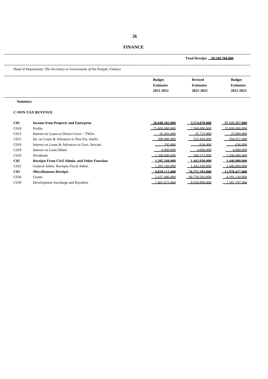| <b>FINANCE</b> |
|----------------|
|                |

|                   |                                                                        | Total Receipt: 50.549.784.000 |                  |                  |
|-------------------|------------------------------------------------------------------------|-------------------------------|------------------|------------------|
|                   | Head of Department: The Secretary to Government of the Punjab, Finance |                               |                  |                  |
|                   |                                                                        | <b>Budget</b>                 | <b>Revised</b>   | <b>Budget</b>    |
|                   |                                                                        | <b>Estimates</b>              | <b>Estimates</b> | <b>Estimates</b> |
|                   |                                                                        | 2021-2022                     | 2021-2022        | 2022-2023        |
| <b>Summary</b>    |                                                                        |                               |                  |                  |
|                   | <b>C-NON-TAX REVENUE</b>                                               |                               |                  |                  |
| C <sub>01</sub>   | <b>Income from Property and Enterprise</b>                             | 26.848.582.000                | 3.574.078.000    | 37.125.357.000   |
| C <sub>010</sub>  | Profits                                                                | 25,000,000,000                | 2.500.000.000    | 35,000,000,000   |
| C <sub>013</sub>  | Interest on Loans to District Govt. / TMAs                             | 35 301 000                    | 35 723 000       | 25.800.000       |
| C <sub>015</sub>  | Int. on Loans & Advances to Non Fin. Instits.                          | 308 986 000                   | 533 404 000      | 594 921 000      |
| C <sub>016</sub>  | Interest on Loans & Advances to Govt. Servant                          | 295,000                       | 636,000          | 636,000          |
| C <sub>018</sub>  | Interest on Loan-Others                                                | 4.000.000                     | 4.000.000        | 4.000.000        |
| C <sub>019</sub>  | <b>Dividends</b>                                                       | 500,000,000                   | 500 315 000      | 500 000 000      |
| C <sub>02</sub>   | <b>Receipts From Civil Admin. and Other Function</b>                   | 1.205.160.000                 | 1.442.030.000    | 1.446.000.000    |
| C <sub>022</sub>  | General Admn. Receipts-Fiscal Admn.                                    | 205 160 000                   | 1 442 030 000    | 1.446,000,000    |
| C <sub>03</sub>   | <b>Miscellaneous Receipts</b>                                          | 9.839.111.000                 | 76.751.393.000   | 11.978.427.000   |
| C <sub>036</sub>  | <b>Grants</b>                                                          | 2.437.486.000                 | 68.720.503.000   | 4.391.130.000    |
| C <sub>0</sub> 39 | Development Surcharge and Royalties                                    | 7401625000                    | 8.030.890.000    | 7.587.297.000    |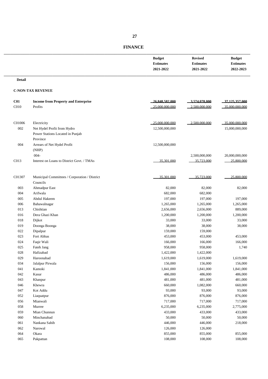|                  |                                               | <b>Budget</b><br><b>Estimates</b><br>2021-2022 | <b>Revised</b><br><b>Estimates</b><br>2021-2022 | <b>Budget</b><br><b>Estimates</b><br>2022-2023 |
|------------------|-----------------------------------------------|------------------------------------------------|-------------------------------------------------|------------------------------------------------|
| <b>Detail</b>    |                                               |                                                |                                                 |                                                |
|                  | <b>C-NON-TAX REVENUE</b>                      |                                                |                                                 |                                                |
| C <sub>01</sub>  | <b>Income from Property and Enterprise</b>    | 26.848.582.000                                 | 3.574.078.000                                   | 37.125.357.000                                 |
| C <sub>010</sub> | Profits                                       | 25,000,000,000                                 | 2.500.000.000                                   | 35,000,000,000                                 |
| C01006           | Electricity                                   | 25.000.000.000                                 | 2.500.000.000                                   | 35,000,000,000                                 |
| 002              | Net Hydel Profit from Hydro                   | 12,500,000,000                                 |                                                 | 15,000,000,000                                 |
|                  | Power Stations Located in Punjab              |                                                |                                                 |                                                |
|                  | Province                                      |                                                |                                                 |                                                |
| 004              | Arrears of Net Hydel Profit                   | 12,500,000,000                                 |                                                 |                                                |
|                  | (NHP)                                         |                                                |                                                 |                                                |
|                  | $004 -$                                       |                                                | 2,500,000,000                                   | 20,000,000,000                                 |
| C013             | Interest on Loans to District Govt. / TMAs    | 35.301.000                                     | 35.723.000                                      | 25 800 000                                     |
| C01307           | Municipal Committees / Corporation / District | 35.301.000                                     | 35.723.000                                      | 25.800.000                                     |
|                  | Councils                                      |                                                |                                                 |                                                |
| 003              | Ahmadpur East                                 | 82,000                                         | 82,000                                          | 82,000                                         |
| 004              | Arifwala                                      | 682,000                                        | 682,000                                         |                                                |
| 005              | Abdul Hakeem                                  | 197,000                                        | 197,000                                         | 197,000                                        |
| 006              | Bahawalnagar                                  | 1,265,000                                      | 1,265,000                                       | 1,265,000                                      |
| 013              | Chishtian                                     | 2,656,000                                      | 2,656,000                                       | 889,000                                        |
| 016              | Dera Ghazi Khan                               | 1,200,000                                      | 1,200,000                                       | 1,200,000                                      |
| 018              | Dijkot                                        | 33,000                                         | 33,000                                          | 33,000                                         |
| 019              | Doonga Boonga                                 | 38,000                                         | 38,000                                          | 38,000                                         |
| 022              | Dipalpur                                      | 159,000                                        | 159,000                                         |                                                |
| 023              | Fort Abbas                                    | 453,000                                        | 453,000                                         | 453,000                                        |
| 024              | Faqir Wali                                    | 166,000                                        | 166,000                                         | 166,000                                        |
| 025              | Fateh Jang                                    | 958,000                                        | 958,000                                         | 1,740                                          |
| 028              | Hafizabad                                     | 1,422,000                                      | 1,422,000                                       |                                                |
| 029              | Haroonabad                                    | 1,619,000                                      | 1,619,000                                       | 1,619,000                                      |
| 034              | Jalalpur Pirwala                              | 156,000                                        | 156,000                                         | 156,000                                        |
| 041              | Kamoki                                        | 1,841,000                                      | 1,841,000                                       | 1,841,000                                      |
| 042              | Kasur                                         | 486,000                                        | 486,000                                         | 486,000                                        |
| 043              | Khanpur                                       | 481,000                                        | 481,000                                         | 481,000                                        |
| 046              | Khewra                                        | 660,000                                        | 1,082,000                                       | 660,000                                        |
| 047              | Kot Addu                                      | 93,000                                         | 93,000                                          | 93,000                                         |
| 052              | Liaquatpur                                    | 876,000                                        | 876,000                                         | 876,000                                        |
| 056              | Mianwali                                      | 717,000                                        | 717,000                                         | 717,000                                        |
| 058              | Murree                                        | 6,235,000                                      | 6,235,000                                       | 2,775,000                                      |
| 059              | Mian Chunnun                                  | 433,000                                        | 433,000                                         | 433,000                                        |
| 060              | Minchanabad                                   | 50,000                                         | 50,000                                          | 50,000                                         |
| 061              | Nankana Sahib                                 | 446,000                                        | 446,000                                         | 218,000                                        |
| 062              | Narowal                                       | 126,000                                        | 126,000                                         |                                                |
| 064              | Okara                                         | 855,000                                        | 855,000                                         | 855,000                                        |
| 065              | Pakpattan                                     | 108,000                                        | 108,000                                         | 108,000                                        |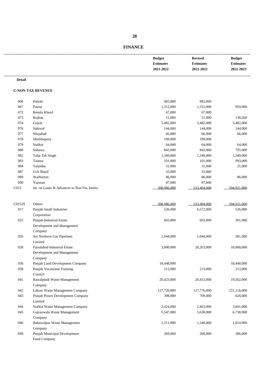| <b>FINANCE</b> |
|----------------|
|                |

|               |                                               | <b>Budget</b><br><b>Estimates</b><br>2021-2022 | <b>Revised</b><br><b>Estimates</b><br>2021-2022 | <b>Budget</b><br><b>Estimates</b><br>2022-2023 |
|---------------|-----------------------------------------------|------------------------------------------------|-------------------------------------------------|------------------------------------------------|
| <b>Detail</b> |                                               |                                                |                                                 |                                                |
|               | <b>C-NON-TAX REVENUE</b>                      |                                                |                                                 |                                                |
| 066           | Pattoki                                       | 983,000                                        | 983,000                                         |                                                |
| 067           | Pasrur                                        | 1,312,000                                      | 1,312,000                                       | 959,000                                        |
| 072           | Renala Khurd                                  | 67,000                                         | 67,000                                          |                                                |
| 073           | Rojhan                                        | 51,000                                         | 51,000                                          | 138,260                                        |
| 074           | Gujrat                                        | 5,482,000                                      | 5,482,000                                       | 5,482,000                                      |
| 076           | Sahiwal                                       | 144,000                                        | 144,000                                         | 144,000                                        |
| 077           | Shujabad                                      | 66,000                                         | 66,000                                          | 66,000                                         |
| 078           | Sheikhupura                                   | 109,000                                        | 109,000                                         |                                                |
| 079           | Sialkot                                       | 64,000                                         | 64,000                                          | 64,000                                         |
| 080           | Sohawa                                        | 843,000                                        | 843,000                                         | 795,000                                        |
| 082           | Toba Tek Singh                                | 1,349,000                                      | 1,349,000                                       | 1,349,000                                      |
| 083           | Taunsa                                        | 101,000                                        | 101,000                                         | 993,000                                        |
| 084           | Talamba                                       | 31,000                                         | 31,000                                          | 31,000                                         |
| 087           | <b>Uch Sharif</b>                             | 33,000                                         | 33,000                                          |                                                |
| 089           | Warburton                                     | 86,000                                         | 86,000                                          | 86,000                                         |
| 090           | Yazman                                        | 87,000                                         | 87,000                                          |                                                |
| C015          | Int. on Loans & Advances to Non Fin. Instits. | 308 986 000                                    | 533,404,000                                     | 594 921 000                                    |
|               |                                               |                                                |                                                 |                                                |
| C01529        | Others                                        | 308.986.000                                    | 533 404 000                                     | 594 921 000                                    |
| 017           | Punjab Small Industries                       | 526,000                                        | 6,572,000                                       | 526,000                                        |
|               | Corporation                                   |                                                |                                                 |                                                |
| 025           | Punjab Industrial Estate                      | 603,000                                        | 603,000                                         | 301,000                                        |
|               | Development and Management                    |                                                |                                                 |                                                |
|               | Company                                       |                                                |                                                 |                                                |
| 026           | Sui Northern Gas Pipelines                    | 1,044,000                                      | 1,044,000                                       | 581,000                                        |
|               | Limited                                       |                                                |                                                 |                                                |
| 028           | Faisalabad Industrial Estate                  | 3,000,000                                      | 20,263,000                                      | 10,000,000                                     |
|               | Development and Management<br>Company         |                                                |                                                 |                                                |
| 036           | Punjab Land Development Company               | 18,448,000                                     |                                                 | 18,448,000                                     |
| 038           | Punjab Vocational Training                    |                                                |                                                 |                                                |
|               | Council                                       | 213,000                                        | 213,000                                         | 213,000                                        |
|               |                                               |                                                |                                                 |                                                |
| 041           | Rawalpindi Waste Management                   | 20,423,000                                     | 20,453,000                                      | 19,562,000                                     |
|               | Company                                       |                                                |                                                 |                                                |
| 042           | Lahore Waste Management Company               | 127,720,000                                    | 127,776,000                                     | 151,116,000                                    |
| 043           | Punjab Power Development Company              | 398,000                                        | 709,000                                         | 628,000                                        |
|               | Limited                                       |                                                |                                                 |                                                |
| 044           | Sialkot Waste Management Company              | 2,424,000                                      | 2,463,000                                       | 3,041,000                                      |
| 045           | Gujranwala Waste Management                   | 5,547,000                                      | 5,638,000                                       | 6,738,000                                      |
|               | Company                                       |                                                |                                                 |                                                |
| 046           | Bahawalpur Waste Management                   | 1,311,000                                      | 1,340,000                                       | 1,814,000                                      |
|               | Company                                       |                                                |                                                 |                                                |
| 049           | Punjab Municipal Development                  | 269,000                                        | 269,000                                         | 306,000                                        |
|               | Fund Company                                  |                                                |                                                 |                                                |

 **28**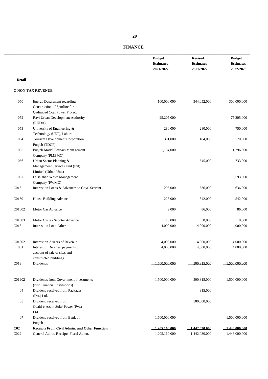| <b>FINANCE</b> |  |
|----------------|--|
|                |  |

|                         |                                                                                                                             | <b>Budget</b><br><b>Estimates</b><br>2021-2022 | <b>Revised</b><br><b>Estimates</b><br>2021-2022 | <b>Budget</b><br><b>Estimates</b><br>2022-2023 |
|-------------------------|-----------------------------------------------------------------------------------------------------------------------------|------------------------------------------------|-------------------------------------------------|------------------------------------------------|
| <b>Detail</b>           |                                                                                                                             |                                                |                                                 |                                                |
|                         | <b>C-NON-TAX REVENUE</b>                                                                                                    |                                                |                                                 |                                                |
| 050                     | <b>Energy Department regarding</b><br>Construction of Spurline for                                                          | 100,000,000                                    | 344,052,000                                     | 300,000,000                                    |
| 052                     | Qadirabad Coal Power Project<br>Ravi Urban Development Authority<br>(RUDA)                                                  | 25,205,000                                     |                                                 | 75,205,000                                     |
| 053                     | University of Engineering &<br>Technology (UET), Lahore                                                                     | 280,000                                        | 280,000                                         | 750,000                                        |
| 054                     | Tourism Development Corporation<br>Punjab (TDCP)                                                                            | 391,000                                        | 184,000                                         | 70,000                                         |
| 055                     | Punjab Model Bazaars Management<br>Company (PMBMC)                                                                          | 1,184,000                                      |                                                 | 1,296,000                                      |
| 056                     | Urban Sector Planning &<br>Management Services Unit (Pvt)<br>Limited (Urban Unit)                                           |                                                | 1,545,000                                       | 733,000                                        |
| 057                     | Faisalabad Waste Management<br>Company (FWMC)                                                                               |                                                |                                                 | 3,593,000                                      |
| C016                    | Interest on Loans & Advances to Govt. Servant                                                                               | 295,000                                        | 636,000                                         | 636,000                                        |
| C01601                  | House Building Advance                                                                                                      | 228,000                                        | 542,000                                         | 542,000                                        |
| C01602                  | Motor Car Advance                                                                                                           | 49,000                                         | 86,000                                          | 86,000                                         |
| C01603<br>C018          | Motor Cycle / Scooter Advance<br>Interest on Loan-Others                                                                    | 18,000<br>4.000.000                            | 8,000<br>4.000.000                              | 8,000<br>4.000.000                             |
| C01802<br>001           | Interest on Arrears of Revenue<br>Interest of Deferred payments on<br>account of sale of sites and<br>constructed buildings | 4.000.000<br>4,000,000                         | 4.000.000<br>4,000,000                          | 4.000.000<br>4,000,000                         |
| C019                    | Dividends                                                                                                                   | 1.500,000,000                                  | 500 315 000                                     | $-1.500\ 000\ 000$                             |
| C01902                  | Dividends from Government Investments<br>(Non Financial Institutions)                                                       | 1.500.000.000                                  | 500 315 000                                     | $-1,500,000,000$                               |
| 04                      | Dividend received from Packages<br>(Pvt.) Ltd.                                                                              |                                                | 315,000                                         |                                                |
| 05                      | Dividend received from<br>Quaid-e-Azam Solar Power (Pvt.)<br>Ltd.                                                           |                                                | 500,000,000                                     |                                                |
| 07                      | Dividend received from Bank of<br>Punjab                                                                                    | 1,500,000,000                                  |                                                 | 1,500,000,000                                  |
| C <sub>02</sub><br>C022 | Receipts From Civil Admin. and Other Function<br>General Admn. Receipts-Fiscal Admn.                                        | 1.205.160.000<br>1.205.160.000                 | 1.442.030.000<br>1.442.030.000                  | $-1,446,000,000$<br>1.44600000                 |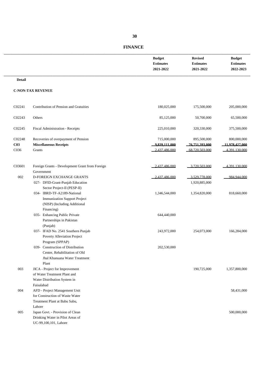|                                   |                                                                                                                  | <b>Budget</b><br><b>Estimates</b><br>2021-2022 | <b>Revised</b><br><b>Estimates</b><br>2021-2022 | <b>Budget</b><br><b>Estimates</b><br>2022-2023 |
|-----------------------------------|------------------------------------------------------------------------------------------------------------------|------------------------------------------------|-------------------------------------------------|------------------------------------------------|
| <b>Detail</b>                     |                                                                                                                  |                                                |                                                 |                                                |
|                                   | <b>C-NON-TAX REVENUE</b>                                                                                         |                                                |                                                 |                                                |
| C02241                            | Contribution of Pension and Gratuities                                                                           | 180,025,000                                    | 175,500,000                                     | 205,000,000                                    |
| C02243                            | Others                                                                                                           | 85,125,000                                     | 50,700,000                                      | 65,500,000                                     |
| C02245                            | Fiscal Administration - Receipts                                                                                 | 225,010,000                                    | 320,330,000                                     | 375,500,000                                    |
| C02248<br>C <sub>03</sub><br>C036 | Recoveries of overpayment of Pension<br><b>Miscellaneous Receipts</b><br>Grants                                  | 715,000,000<br>9.839.111.000<br>2.437.486,000  | 895,500,000<br>76.751.393.000<br>68 720 503 000 | 800,000,000<br>11.978.427.000<br>4.391.130.000 |
| C03601                            | Foreign Grants - Development Grant from Foreign<br>Government                                                    | 2.437.486.000                                  | 3 720 503 000                                   | 4 391 130 000                                  |
| 002                               | D-FOREIGN EXCHANGE GRANTS<br>027- DFID-Grant-Punjab Education<br>Sector Project-II (PESP-II)                     | 2.437.486.000                                  | 3.529.778.000<br>1,920,885,000                  | 984 944 000                                    |
|                                   | 034- IBRD-TF-A2189-National<br><b>Immunization Support Project</b><br>(NISP) (Including Additional<br>Financing) | 1,346,544,000                                  | 1,354,820,000                                   | 818,660,000                                    |
|                                   | 035- Enhancing Public Private<br>Partnerships in Pakistan<br>(Punjab)                                            | 644,440,000                                    |                                                 |                                                |
|                                   | 037- IFAD No. 2541 Southern Punjab<br>Poverty Alleviation Project<br>Program (SPPAP)                             | 243,972,000                                    | 254,073,000                                     | 166,284,000                                    |
|                                   | 039- Construction of Distribution<br>Center, Rehabilitation of Old<br>Jhal Khanuana Water Treatment<br>Plant     | 202,530,000                                    |                                                 |                                                |
| 003                               | JICA - Project for Improvement<br>of Water Treatment Plant and<br>Water Distribution System in                   |                                                | 190,725,000                                     | 1,357,800,000                                  |
| 004                               | Faisalabad<br>AFD - Project Management Unit<br>for Construction of Waste Water<br>Treatment Plant at Babu Sabu,  |                                                |                                                 | 58,431,000                                     |
| 005                               | Lahore<br>Japan Govt. - Provision of Clean<br>Drinking Water in Pilot Areas of<br>UC-99,100,101, Lahore          |                                                |                                                 | 500,000,000                                    |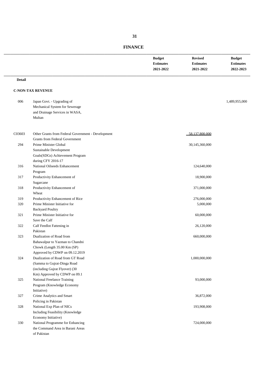|               |                                                    | <b>Budget</b><br><b>Estimates</b><br>2021-2022 | <b>Revised</b><br><b>Estimates</b><br>2021-2022 | <b>Budget</b><br><b>Estimates</b><br>2022-2023 |
|---------------|----------------------------------------------------|------------------------------------------------|-------------------------------------------------|------------------------------------------------|
| <b>Detail</b> |                                                    |                                                |                                                 |                                                |
|               | <b>C-NON-TAX REVENUE</b>                           |                                                |                                                 |                                                |
|               |                                                    |                                                |                                                 |                                                |
| 006           | Japan Govt. - Upgrading of                         |                                                |                                                 | 1,489,955,000                                  |
|               | Mechanical System for Sewerage                     |                                                |                                                 |                                                |
|               | and Drainage Services in WASA,                     |                                                |                                                 |                                                |
|               | Multan                                             |                                                |                                                 |                                                |
| C03603        | Other Grants from Federal Government - Development |                                                | 58.137.800.000                                  |                                                |
|               | <b>Grants from Federal Government</b>              |                                                |                                                 |                                                |
| 294           | Prime Minister Global                              |                                                | 30,145,360,000                                  |                                                |
|               | Sustainable Development                            |                                                |                                                 |                                                |
|               | Goals(SDGs) Achievement Program                    |                                                |                                                 |                                                |
|               | during CFY 2016-17                                 |                                                |                                                 |                                                |
| 316           | National Oilseeds Enhancement                      |                                                | 124,640,000                                     |                                                |
|               | Program                                            |                                                |                                                 |                                                |
| 317           | Productivity Enhancement of                        |                                                | 18,900,000                                      |                                                |
|               | Sugarcane                                          |                                                |                                                 |                                                |
| 318           | Productivity Enhancement of                        |                                                | 371,000,000                                     |                                                |
|               | Wheat                                              |                                                |                                                 |                                                |
| 319           | Productivity Enhancement of Rice                   |                                                | 276,000,000                                     |                                                |
| 320           | Prime Minister Initiative for                      |                                                | 5,000,000                                       |                                                |
|               | <b>Backyard Poultry</b>                            |                                                |                                                 |                                                |
| 321           | Prime Minister Initiative for                      |                                                | 60,000,000                                      |                                                |
| 322           | Save the Calf<br>Calf Feedlot Fattening in         |                                                | 26,120,000                                      |                                                |
|               | Pakistan                                           |                                                |                                                 |                                                |
| 323           | Dualization of Road from                           |                                                | 660,000,000                                     |                                                |
|               | Bahawalpur to Yazman to Chandni                    |                                                |                                                 |                                                |
|               | Chowk (Length 35.00 Km (SP)                        |                                                |                                                 |                                                |
|               | Approved by CDWP on 09.12.2019                     |                                                |                                                 |                                                |
| 324           | Dualization of Road from GT Road                   |                                                | 1,000,000,000                                   |                                                |
|               | (Samma to Gujrat-Dinga Road                        |                                                |                                                 |                                                |
|               | (including Gujrat Flyover) (30                     |                                                |                                                 |                                                |
|               | Km) Approved by CDWP on 09.1                       |                                                |                                                 |                                                |
| 325           | National Freelance Training                        |                                                | 93,000,000                                      |                                                |
|               | Program (Knowledge Economy                         |                                                |                                                 |                                                |
|               | Initiative)                                        |                                                |                                                 |                                                |
| 327           | Crime Analytics and Smart                          |                                                | 36,872,000                                      |                                                |
|               | Policing in Pakistan                               |                                                |                                                 |                                                |
| 328           | National Exp Plan of NICs                          |                                                | 193,908,000                                     |                                                |
|               | Including Feasibility (Knowledge                   |                                                |                                                 |                                                |
|               | Economy Initiative)                                |                                                |                                                 |                                                |
| 330           | National Programme for Enhancing                   |                                                | 724,000,000                                     |                                                |
|               | the Command Area in Barani Areas                   |                                                |                                                 |                                                |
|               | of Pakistan                                        |                                                |                                                 |                                                |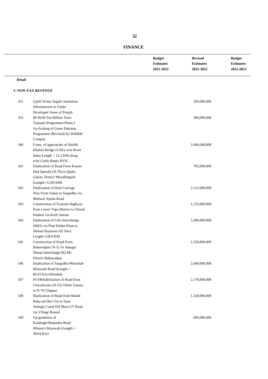| <b>Budget</b>    | <b>Revised</b>   | <b>Budget</b>    |
|------------------|------------------|------------------|
| <b>Estimates</b> | <b>Estimates</b> | <b>Estimates</b> |
| 2021-2022        | 2021-2022        | 2022-2023        |
|                  |                  |                  |

#### **Detail**

| 331 | <b>Uplift Water Supply Sanitation</b><br>Infrastructure in Under | 350,000,000   |  |
|-----|------------------------------------------------------------------|---------------|--|
|     | Developed Areas of Punjab                                        |               |  |
| 333 | IB-0638-Ten Billion Trees                                        | 300,000,000   |  |
|     | Tsunami Programme-Phase-I                                        |               |  |
|     | Up-Scaling of Green Pakistan                                     |               |  |
|     | Programme (Revised) for Wildlife                                 |               |  |
|     | Compon                                                           |               |  |
| 340 | Const. of approaches of Sheikh                                   | 2,046,000,000 |  |
|     | Khalifa Bridge (UAE) over River                                  |               |  |
|     | Indus Length $= 15.2$ KM along                                   |               |  |
|     | with Guide Banks RYK.                                            |               |  |
| 341 | Dualization of Road From Karam                                   | 792,000,000   |  |
|     | Dad Qureshi (N-70) to Qasba                                      |               |  |
|     | Gujrat, District Muzaffargarh                                    |               |  |
|     | $(Length=12.00 KM)$                                              |               |  |
| 342 | Dualization of Dual Carriage                                     | 2,112,000,000 |  |
|     | Way From Salam to Sargodha via                                   |               |  |
|     | Bhalwal Ajnala Road                                              |               |  |
| 343 | Construction of Tourism Highway                                  | 1,155,000,000 |  |
|     | from Lower Topa Murree to Chowk                                  |               |  |
|     | Pandori via Kotli Sattian                                        |               |  |
| 344 | Dualization of Lilla Interchange                                 | 3,300,000,000 |  |
|     | (M#2) via Pind Dadan Khan to                                     |               |  |
|     | Jhelum Bypasses (02 Nos)                                         |               |  |
|     | Length= $128.0$ KM                                               |               |  |
| 345 | Construction of Road From                                        | 1,320,000,000 |  |
|     | Bahawalpur (N-5) To Jhangra                                      |               |  |
|     | Sharqi Interchange (KLM)                                         |               |  |
|     | District Bahawalpur                                              |               |  |
| 346 | Dualization of Sargodha #Khushab                                 | 2,640,000,000 |  |
|     | Mianwali Road (Length =                                          |               |  |
|     | 60.43 Km) Khushab                                                |               |  |
| 347 | W/I/Rehabilitation of Road from                                  | 2,178,000,000 |  |
|     | Chowkiwala (N-55) Tehsil Taunsa                                  |               |  |
|     | to N-70 Chappar                                                  |               |  |
| 348 | Dualization of Road from Mandi                                   | 1,320,000,000 |  |
|     | Baha-ud-Din City to Sarai                                        |               |  |
|     | Alamgir Canal Pul Main GT Road                                   |               |  |
|     | via Village Rasool                                               |               |  |
| 349 | Up-gradation of                                                  | 660,000,000   |  |
|     | Kalabagh/Shakardra Road                                          |               |  |
|     | #District Mianwali (Length =                                     |               |  |
|     | 38.64 Km)                                                        |               |  |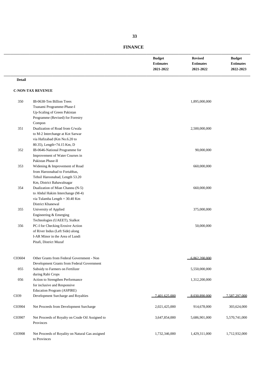\_\_\_\_\_\_\_\_\_\_\_\_\_\_\_\_\_\_\_\_\_\_\_\_\_\_\_\_\_\_\_\_\_\_\_\_\_\_\_\_\_\_\_\_\_\_\_\_\_\_\_\_\_\_\_\_\_\_\_\_\_\_\_\_\_\_\_\_\_\_\_\_\_\_\_\_ **Budget Revised Budget**

**2021-2022 2021-2022 2022-2023** \_\_\_\_\_\_\_\_\_\_\_\_\_\_\_\_\_\_\_\_\_\_\_\_\_\_\_\_\_\_\_\_\_\_\_\_\_\_\_\_\_\_\_\_\_\_\_\_\_\_\_\_\_\_\_\_\_\_\_\_\_\_\_\_\_\_\_\_\_\_\_\_\_\_\_\_

**Estimates Estimates Estimates**

# **C-NON-TAX REVENUE**

**Detail**

| 350    | IB-0638-Ten Billion Trees                                        | 1,895,000,000                  |               |
|--------|------------------------------------------------------------------|--------------------------------|---------------|
|        | Tsunami Programme-Phase-I                                        |                                |               |
|        | Up-Scaling of Green Pakistan                                     |                                |               |
|        | Programme (Revised) for Forestry                                 |                                |               |
|        | Compon                                                           |                                |               |
| 351    | Dualization of Road from G/wala                                  | 2,500,000,000                  |               |
|        | to M-2 Interchange at Kot Sarwar                                 |                                |               |
|        | via Hafizabad (Km No.6.20 to                                     |                                |               |
|        | 80.35), Length=74.15 Km, D                                       |                                |               |
| 352    | IB-0646-National Programme for                                   | 90,000,000                     |               |
|        | Improvement of Water Courses in                                  |                                |               |
|        | Pakistan Phase-II                                                |                                |               |
| 353    | Widening & Improvement of Road                                   | 660,000,000                    |               |
|        | from Haroonabad to Fortabbas,                                    |                                |               |
|        | Tehsil Haroonabad, Length 53.20                                  |                                |               |
|        | Km, District Bahawalnagar                                        |                                |               |
| 354    | Dualization of Mian Channu (N-5)                                 | 660,000,000                    |               |
|        | to Abdul Hakim Interchange (M-4)                                 |                                |               |
|        | via Tulamba Length = 30.40 Km                                    |                                |               |
|        | District Khanewal                                                |                                |               |
| 355    | University of Applied                                            | 375,000,000                    |               |
|        | Engineering & Emerging                                           |                                |               |
|        | Technologies (UAEET), Sialkot                                    |                                |               |
| 356    | PC-I for Checking Erosive Action                                 | 50,000,000                     |               |
|        | of River Indus (Left Side) along                                 |                                |               |
|        | I-AR Minor in the Area of Lundi                                  |                                |               |
|        | Pitafi, District Muzaf                                           |                                |               |
| C03604 | Other Grants from Federal Government - Non                       | 6.862.200.000                  |               |
|        | Development Grants from Federal Government                       |                                |               |
| 055    | Subsidy to Farmers on Fertilizer                                 | 5,550,000,000                  |               |
|        | during Rabi Crops                                                |                                |               |
| 056    | Action to Strengthen Performance                                 | 1,312,200,000                  |               |
|        | for inclusive and Responsive                                     |                                |               |
|        | Education Program (ASPIRE)                                       |                                |               |
| C039   | Development Surcharge and Royalties                              | 8.030.890.000<br>7401625000    | 7.587.297.000 |
|        |                                                                  |                                |               |
| C03904 | Net Proceeds from Development Surcharge                          | 2,021,425,000<br>914,678,000   | 303,624,000   |
| C03907 | Net Proceeds of Royalty on Crude Oil Assigned to<br>Provinces    | 3,647,854,000<br>5,686,901,000 | 5,570,741,000 |
| C03908 | Net Proceeds of Royality on Natural Gas assigned<br>to Provinces | 1,732,346,000<br>1,429,311,000 | 1,712,932,000 |
|        |                                                                  |                                |               |

# **FINANCE**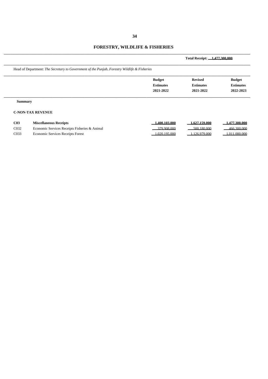# **FORESTRY, WILDLIFE & FISHERIES**

|                                                                                              |                                   | Total Receipt: 1.477.300.000       |                                   |  |
|----------------------------------------------------------------------------------------------|-----------------------------------|------------------------------------|-----------------------------------|--|
| Head of Department: The Secretary to Government of the Punjab, Forestry Wildlife & Fisheries |                                   |                                    |                                   |  |
|                                                                                              | <b>Budget</b><br><b>Estimates</b> | <b>Revised</b><br><b>Estimates</b> | <b>Budget</b><br><b>Estimates</b> |  |
|                                                                                              | 2021-2022                         | 2021-2022                          | 2022-2023                         |  |
| <b>Summary</b>                                                                               |                                   |                                    |                                   |  |
| <b>C-NON-TAX REVENUE</b><br>002<br>$M_{\text{total}}$                                        | 1.400.102.000                     | 1.727150.000                       | 1.477.200.000                     |  |

| C <sub>03</sub> | <b>Miscellaneous Receipts</b>                 | 1.400.103.000  | 1.627.159.000  | 1.477.300.000    |
|-----------------|-----------------------------------------------|----------------|----------------|------------------|
| C032            | Economic Services Receipts Fisheries & Animal | 379.908.000    | $-500.180.000$ | 466,300,000      |
| C033            | <b>Economic Services Receipts Forest</b>      | $-1.020195000$ | $-1.126979000$ | $-1.011,000,000$ |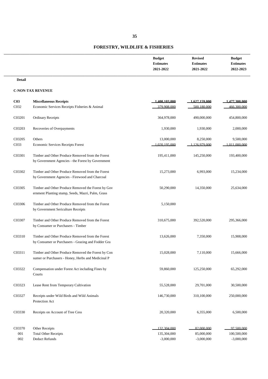# **FORESTRY, WILDLIFE & FISHERIES**

| <b>Budget</b>    | <b>Revised</b>   | <b>Budget</b>    |
|------------------|------------------|------------------|
| <b>Estimates</b> | <b>Estimates</b> | <b>Estimates</b> |
| 2021-2022        | 2021-2022        | 2022-2023        |
|                  |                  |                  |

**Detail**

| C <sub>03</sub>   | <b>Miscellaneous Receipts</b>                                                                            | 1.400.103.000 | 1.627.159.000 | 1.477.300.000 |
|-------------------|----------------------------------------------------------------------------------------------------------|---------------|---------------|---------------|
| C <sub>0</sub> 32 | Economic Services Receipts Fisheries & Animal                                                            | 379.908.000   | 500.180.000   | 466.300.000   |
| C03201            | <b>Ordinary Receipts</b>                                                                                 | 364,978,000   | 490,000,000   | 454,800,000   |
| C03203            | Recoveries of Overpayments                                                                               | 1,930,000     | 1,930,000     | 2,000,000     |
| C03205            | Others                                                                                                   | 13,000,000    | 8,250,000     | 9,500,000     |
| C033              | Economic Services Receipts Forest                                                                        | 1 020 195 000 | 1 126 979 000 | 1 011 000 000 |
| C03301            | Timber and Other Produce Removed from the Forest<br>by Government Agencies - the Forest by Government    | 195,411,000   | 145,250,000   | 193,400,000   |
| C03302            | Timber and Other Produce Removed from the Forest<br>by Government Agencies - Firewood and Charcoal       | 15,273,000    | 6,993,000     | 15,234,000    |
| C03305            | Timber and Other Produce Removed the Forest by Gov<br>ernment Planting stump, Seeds, Mazri, Palm, Grass  | 50,290,000    | 14,350,000    | 25,634,000    |
| C03306            | Timber and Other Produce Removed from the Forest<br>by Government Sericulture Receipts                   | 5,150,000     |               |               |
| C03307            | Timber and Other Produce Removed from the Forest<br>by Consumer or Purchasers - Timber                   | 310,675,000   | 392,520,000   | 295,366,000   |
| C03310            | Timber and Other Produce Removed from the Forest<br>by Consumer or Purchasers - Grazing and Fodder Gra   | 13,626,000    | 7,350,000     | 15,908,000    |
| C03311            | Timber and Other Produce Removed the Forest by Con<br>sumer or Purchasers - Honey, Herbs and Medicinal P | 15,028,000    | 7,110,000     | 15,666,000    |
| C03322            | Compensation under Forest Act including Fines by<br>Courts                                               | 59,860,000    | 125,250,000   | 65,292,000    |
| C03323            | Lease Rent from Temporary Cultivation                                                                    | 55,528,000    | 29,701,000    | 30,500,000    |
| C03327            | Receipts under Wild Birds and Wild Animals<br>Protection Act                                             | 146,730,000   | 310,100,000   | 250,000,000   |
| C03330            | Receipts on Account of Tree Cess                                                                         | 20,320,000    | 6,355,000     | 6,500,000     |
| C03370            | Other Receipts                                                                                           | 132.304.000   | 82,000,000    | 97.500.000    |
| 001               | <b>Total Other Receipts</b>                                                                              | 135,304,000   | 85,000,000    | 100,500,000   |
| 002               | Deduct Refunds                                                                                           | $-3,000,000$  | $-3,000,000$  | $-3,000,000$  |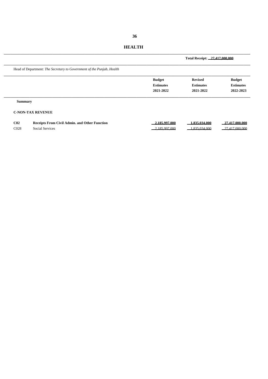| <b>HEALTH</b> |
|---------------|
|---------------|

|                 |                                                                       |                                                | Total Receipt: 27.417.000.000                   |                                                |  |
|-----------------|-----------------------------------------------------------------------|------------------------------------------------|-------------------------------------------------|------------------------------------------------|--|
|                 | Head of Department: The Secretary to Government of the Punjab, Health |                                                |                                                 |                                                |  |
|                 |                                                                       | <b>Budget</b><br><b>Estimates</b><br>2021-2022 | <b>Revised</b><br><b>Estimates</b><br>2021-2022 | <b>Budget</b><br><b>Estimates</b><br>2022-2023 |  |
| <b>Summary</b>  |                                                                       |                                                |                                                 |                                                |  |
|                 | <b>C-NON-TAX REVENUE</b>                                              |                                                |                                                 |                                                |  |
| C <sub>02</sub> | <b>Receipts From Civil Admin. and Other Function</b>                  | 2.185.997.000                                  | 1.835.034.000                                   | 27.417.000.000                                 |  |

**C02 Receipts From Civil Admin. and Other Function 2,185,997,000 1,835,034,000 27,417,000,000** C028 Social Services 2,185,997,000 1,835,034,000 27,417,000,000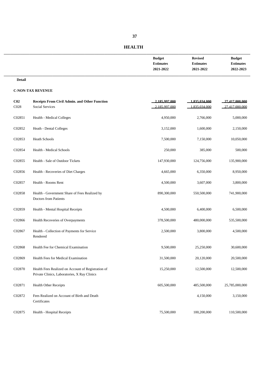| <b>Budget</b>    | <b>Revised</b>   | <b>Budget</b>    |
|------------------|------------------|------------------|
| <b>Estimates</b> | <b>Estimates</b> | <b>Estimates</b> |
| 2021-2022        | 2021-2022        | 2022-2023        |
|                  |                  |                  |

#### **Detail**

| C <sub>02</sub> | <b>Receipts From Civil Admin. and Other Function</b>                                               | 2.185.997.000 | 1.835.034.000 | 27.417.000.000 |
|-----------------|----------------------------------------------------------------------------------------------------|---------------|---------------|----------------|
| C028            | <b>Social Services</b>                                                                             | 2.185.997.000 | 1.835.034.000 | 27.417.000.000 |
| C02851          | Health - Medical Colleges                                                                          | 4,950,000     | 2,766,000     | 5,000,000      |
| C02852          | Heath - Dental Colleges                                                                            | 3,152,000     | 1,600,000     | 2,150,000      |
| C02853          | <b>Heath Schools</b>                                                                               | 7,500,000     | 7,150,000     | 10,050,000     |
| C02854          | Health - Medical Schools                                                                           | 250,000       | 385,000       | 500,000        |
| C02855          | Health - Sale of Outdoor Tickets                                                                   | 147,930,000   | 124,756,000   | 135,900,000    |
| C02856          | Health - Recoveries of Diet Charges                                                                | 4,665,000     | 6,350,000     | 8,950,000      |
| C02857          | Health - Rooms Rent                                                                                | 4,500,000     | 3,607,000     | 3,800,000      |
| C02858          | Health - Government Share of Fees Realized by<br><b>Doctors from Patients</b>                      | 890,300,000   | 550,500,000   | 741,900,000    |
| C02859          | Health - Mental Hospital Receipts                                                                  | 4,500,000     | 6,400,000     | 6,500,000      |
| C02866          | Health Recoveries of Overpayments                                                                  | 378,500,000   | 480,000,000   | 535,500,000    |
| C02867          | Health - Collection of Payments for Service<br>Rendered                                            | 2,500,000     | 3,800,000     | 4,500,000      |
| C02868          | Health Fee for Chemical Examination                                                                | 9,500,000     | 25,250,000    | 30,600,000     |
| C02869          | Health Fees for Medical Examination                                                                | 31,500,000    | 20,120,000    | 20,500,000     |
| C02870          | Health Fees Realized on Account of Registration of<br>Private Clinics, Laboratories, X Ray Clinics | 15,250,000    | 12,500,000    | 12,500,000     |
| C02871          | <b>Health Other Receipts</b>                                                                       | 605,500,000   | 485,500,000   | 25,785,000,000 |
| C02872          | Fees Realized on Account of Birth and Death<br>Certificates                                        |               | 4,150,000     | 3,150,000      |
| C02875          | Health - Hospital Receipts                                                                         | 75,500,000    | 100,200,000   | 110,500,000    |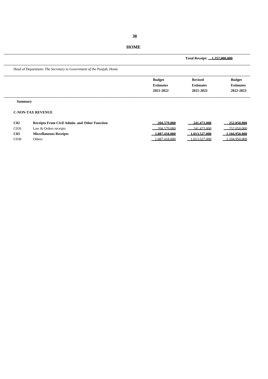# **HOME**

|                                                                         |                                                | Total Receipt: 1.357,000,000                    |                                                |
|-------------------------------------------------------------------------|------------------------------------------------|-------------------------------------------------|------------------------------------------------|
| Head of Department: The Secretary to Government of the Punjab, Home     |                                                |                                                 |                                                |
|                                                                         | <b>Budget</b><br><b>Estimates</b><br>2021-2022 | <b>Revised</b><br><b>Estimates</b><br>2021-2022 | <b>Budget</b><br><b>Estimates</b><br>2022-2023 |
| <b>Summary</b>                                                          |                                                |                                                 |                                                |
| <b>C-NON-TAX REVENUE</b>                                                |                                                |                                                 |                                                |
| C <sub>02</sub><br><b>Receipts From Civil Admin, and Other Function</b> | 204.579.000                                    | 241.473.000                                     | 252,050,000                                    |

| C02  | Receipts From Civil Admin. and Other Function | 204.579.000   | 241.473.000   | 252,050,000   |
|------|-----------------------------------------------|---------------|---------------|---------------|
| C026 | Law & Orders receipts                         | 204.579.000   | 241.473.000   | 252,050,000   |
| C03  | <b>Miscellaneous Receipts</b>                 | 1.087.418.000 | 1.013.527.000 | 1.104.950.000 |
| C038 | Others                                        | 1.087.418.000 | 1.013.527.000 | 1 104 950 000 |
|      |                                               |               |               |               |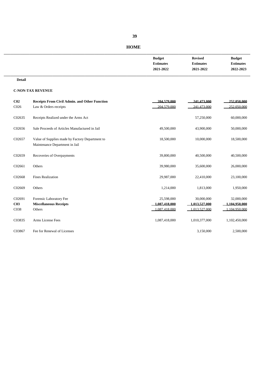#### **HOME**

| <b>Budget</b>    | <b>Revised</b>   | <b>Budget</b>    |
|------------------|------------------|------------------|
| <b>Estimates</b> | <b>Estimates</b> | <b>Estimates</b> |
| 2021-2022        | 2021-2022        | 2022-2023        |
|                  |                  |                  |

#### **Detail**

| C <sub>02</sub>                               | <b>Receipts From Civil Admin. and Other Function</b>                              | 204.579.000                                 | 241.473.000                                  | 252.050.000                                  |
|-----------------------------------------------|-----------------------------------------------------------------------------------|---------------------------------------------|----------------------------------------------|----------------------------------------------|
| C <sub>026</sub>                              | Law & Orders receipts                                                             | 204.579.000                                 | 241.473.000                                  | 252.050.000                                  |
| C02635                                        | Receipts Realized under the Arms Act                                              |                                             | 57,250,000                                   | 60,000,000                                   |
| C02656                                        | Sale Proceeds of Articles Manufactured in Jail                                    | 49,500,000                                  | 43,900,000                                   | 50,000,000                                   |
| C02657                                        | Value of Supplies made by Factory Department to<br>Maintenance Department in Jail | 18,500,000                                  | 10,000,000                                   | 18,500,000                                   |
| C02659                                        | Recoveries of Overpayments                                                        | 39,800,000                                  | 40,500,000                                   | 40,500,000                                   |
| C02661                                        | Others                                                                            | 39,980,000                                  | 35,600,000                                   | 26,000,000                                   |
| C02668                                        | <b>Fines Realization</b>                                                          | 29,987,000                                  | 22,410,000                                   | 23,100,000                                   |
| C02669                                        | Others                                                                            | 1,214,000                                   | 1,813,000                                    | 1,950,000                                    |
| C02691<br>C <sub>03</sub><br>C <sub>038</sub> | Forensic Laboratory Fee<br><b>Miscellaneous Receipts</b><br>Others                | 25,598,000<br>.087.418.000<br>1 087 418 000 | 30,000,000<br>1.013.527.000<br>1 013 527 000 | 32,000,000<br>1.104.950.000<br>1 104 950 000 |
| C03835                                        | Arms License Fees                                                                 | 1,087,418,000                               | 1,010,377,000                                | 1,102,450,000                                |
| C03867                                        | Fee for Renewal of Licenses                                                       |                                             | 3,150,000                                    | 2,500,000                                    |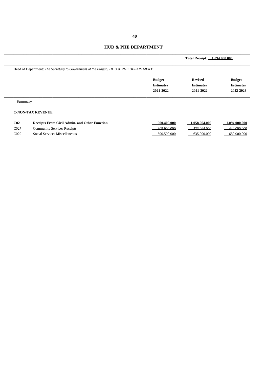#### **HUD & PHE DEPARTMENT**

|                                                                                     |                  | Total Receipt: 1.094.000.000 |                  |
|-------------------------------------------------------------------------------------|------------------|------------------------------|------------------|
| Head of Department: The Secretary to Government of the Punjab, HUD & PHE DEPARTMENT |                  |                              |                  |
|                                                                                     | <b>Budget</b>    | <b>Revised</b>               | <b>Budget</b>    |
|                                                                                     | <b>Estimates</b> | <b>Estimates</b>             | <b>Estimates</b> |
|                                                                                     | 2021-2022        | 2021-2022                    | 2022-2023        |
| <b>Summary</b>                                                                      |                  |                              |                  |
| <b>C-NON-TAX REVENUE</b>                                                            |                  |                              |                  |

| C02  | Receipts From Civil Admin. and Other Function | $-900.400.000$ | 1.058.064.000  | 1.094.000.000  |
|------|-----------------------------------------------|----------------|----------------|----------------|
| C027 | <b>Community Services Receipts</b>            | $-309.900.000$ | 423.064.000    | 444.000.000    |
| C029 | Social Services Miscellaneous                 | $-590,500,000$ | $-635,000,000$ | $-650,000,000$ |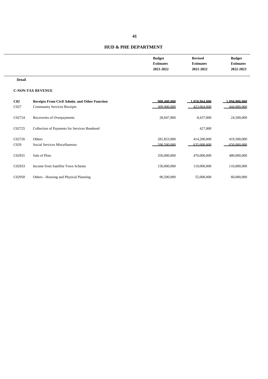#### **HUD & PHE DEPARTMENT**

| <b>Budget</b>    | <b>Revised</b>   | <b>Budget</b>    |
|------------------|------------------|------------------|
| <b>Estimates</b> | <b>Estimates</b> | <b>Estimates</b> |
| 2021-2022        | 2021-2022        | 2022-2023        |
|                  |                  |                  |

**Detail**

| C <sub>02</sub>  | <b>Receipts From Civil Admin. and Other Function</b> | 900.400.000 | 1.058.064.000 | .094.000.000 |
|------------------|------------------------------------------------------|-------------|---------------|--------------|
| C <sub>027</sub> | <b>Community Services Receipts</b>                   | 309.900.000 | 423,064,000   | 444,000,000  |
| C02724           | Recoveries of Overpayments                           | 28,047,000  | 8,437,000     | 24,500,000   |
| C02725           | Collection of Payments for Services Rendered         |             | 427,000       |              |
| C02726           | Others                                               | 281,853,000 | 414,200,000   | 419,500,000  |
| C <sub>029</sub> | Social Services Miscellaneous                        | 590.500.000 | 635,000,000   | 650,000,000  |
| C02931           | Sale of Plots                                        | 350,000,000 | 470,000,000   | 480,000,000  |
| C02933           | Income from Satellite Town Scheme                    | 150,000,000 | 110,000,000   | 110,000,000  |
| C02950           | Others - Housing and Physical Planning               | 90,500,000  | 55,000,000    | 60,000,000   |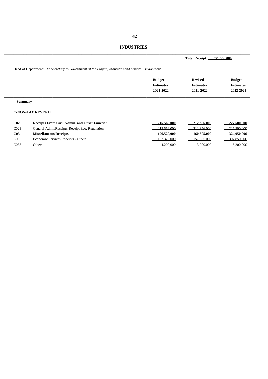#### **INDUSTRIES**

|                 |                                                                                                  |                  | Total Receipt: 551.550.000 |                  |
|-----------------|--------------------------------------------------------------------------------------------------|------------------|----------------------------|------------------|
|                 | Head of Department: The Secretary to Government of the Punjab, Industries and Mineral Devlopment |                  |                            |                  |
|                 |                                                                                                  | <b>Budget</b>    | <b>Revised</b>             | <b>Budget</b>    |
|                 |                                                                                                  | <b>Estimates</b> | <b>Estimates</b>           | <b>Estimates</b> |
|                 |                                                                                                  | 2021-2022        | 2021-2022                  | 2022-2023        |
|                 | <b>Summary</b>                                                                                   |                  |                            |                  |
|                 | <b>C-NON-TAX REVENUE</b>                                                                         |                  |                            |                  |
| C <sub>02</sub> | <b>Receipts From Civil Admin. and Other Function</b>                                             | 215.562.000      | 212,356,000                | 227,500,000      |
| 0.022           | $\alpha$ iii needs the metal                                                                     | 0.1772000        | $0.10 \times 0.00$         | 227.50000        |

| C023 | General Admn. Receipts-Receipt Eco. Regulation | 215.562.000 | 212.356.000    | 227.500.000    |
|------|------------------------------------------------|-------------|----------------|----------------|
| C03  | <b>Miscellaneous Receipts</b>                  | 196.520.000 | $-160.805.000$ | $-324.050.000$ |
| C035 | Economic Services Receipts - Others            | 192.320.000 | 157.805.000    | 307.850.000    |
| C038 | Others                                         | 4.200.000   | 3.000.000      | 16.200.000     |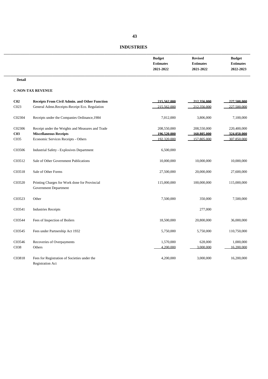# **INDUSTRIES**

| <b>Budget</b>    | <b>Revised</b>   | <b>Budget</b>    |
|------------------|------------------|------------------|
| <b>Estimates</b> | <b>Estimates</b> | <b>Estimates</b> |
| 2021-2022        | 2021-2022        | 2022-2023        |
|                  |                  |                  |

#### **Detail**

| C <sub>02</sub> | <b>Receipts From Civil Admin. and Other Function</b>                          | 215.562.000 | 212.356.000 | 227.500.000 |
|-----------------|-------------------------------------------------------------------------------|-------------|-------------|-------------|
| C023            | General Admn.Receipts-Receipt Eco. Regulation                                 | 215.562.000 | 212.356.000 | 227,500,000 |
| C02304          | Receipts under the Companies Ordinance, 1984                                  | 7,012,000   | 3,806,000   | 7,100,000   |
| C02306          | Receipt under the Weights and Measures and Trade                              | 208,550,000 | 208,550,000 | 220,400,000 |
| C <sub>03</sub> | <b>Miscellaneous Receipts</b>                                                 | 196.520.000 | 160.805.000 | 324.050.000 |
| C035            | Economic Services Receipts - Others                                           | 192.320.000 | 157 805 000 | 307 850 000 |
| C03506          | <b>Industrial Safety - Explosives Department</b>                              | 6,500,000   |             |             |
| C03512          | Sale of Other Government Publications                                         | 10,000,000  | 10,000,000  | 10,000,000  |
| C03518          | Sale of Other Forms                                                           | 27,500,000  | 20,000,000  | 27,600,000  |
| C03520          | Printing Charges for Work done for Provincial<br><b>Government Department</b> | 115,000,000 | 100,000,000 | 115,000,000 |
| C03523          | Other                                                                         | 7,500,000   | 350,000     | 7,500,000   |
| C03541          | <b>Industries Receipts</b>                                                    |             | 277,000     |             |
| C03544          | Fees of Inspection of Boilers                                                 | 18,500,000  | 20,800,000  | 36,000,000  |
| C03545          | Fees under Partnership Act 1932                                               | 5,750,000   | 5,750,000   | 110,750,000 |
| C03546          | Recoveries of Overpayments                                                    | 1,570,000   | 628,000     | 1,000,000   |
| C038            | Others                                                                        | 4.200.000   | 3.000.000   | 16.200.000  |
| C03818          | Fees for Registration of Societies under the<br><b>Registration Act</b>       | 4,200,000   | 3,000,000   | 16,200,000  |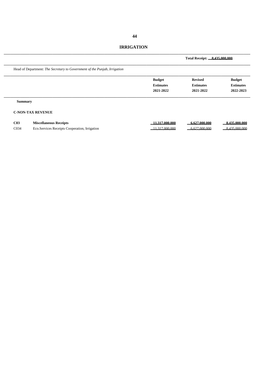# **IRRIGATION**

|                  |                                                                           |                                                | Total Receipt: 8.435.000.000                    |                                                |
|------------------|---------------------------------------------------------------------------|------------------------------------------------|-------------------------------------------------|------------------------------------------------|
|                  | Head of Department: The Secretary to Government of the Punjab, Irrigation |                                                |                                                 |                                                |
|                  |                                                                           | <b>Budget</b><br><b>Estimates</b><br>2021-2022 | <b>Revised</b><br><b>Estimates</b><br>2021-2022 | <b>Budget</b><br><b>Estimates</b><br>2022-2023 |
| <b>Summary</b>   |                                                                           |                                                |                                                 |                                                |
|                  | <b>C-NON-TAX REVENUE</b>                                                  |                                                |                                                 |                                                |
| C <sub>03</sub>  | <b>Miscellaneous Receipts</b>                                             | 11.317.000.000                                 | 6.627.000.000                                   | 8.435.000.000                                  |
| CO <sub>34</sub> | Eco.Services Receipts Cooperation, Irrigation                             | 11.317.000.000                                 | 6.627.000.000                                   | 8.435.000.000                                  |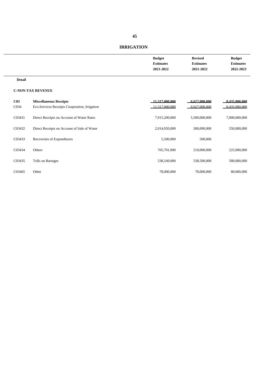# **IRRIGATION**

| <b>Budget</b>    | <b>Revised</b>   | <b>Budget</b>    |
|------------------|------------------|------------------|
| <b>Estimates</b> | <b>Estimates</b> | <b>Estimates</b> |
| 2021-2022        | 2021-2022        | 2022-2023        |
|                  |                  |                  |

#### **Detail**

| C <sub>03</sub><br>CO <sub>34</sub> | <b>Miscellaneous Receipts</b><br>Eco. Services Receipts Cooperation, Irrigation | 11.317.000.000<br>11.317.000.000 | 6.627.000.000<br>6.627.000.000 | 8.435.000.000<br>8.435,000,000 |
|-------------------------------------|---------------------------------------------------------------------------------|----------------------------------|--------------------------------|--------------------------------|
| C03431                              | Direct Receipts on Account of Water Rates                                       | 7,915,200,000                    | 5,500,000,000                  | 7,000,000,000                  |
| C03432                              | Direct Receipts on Account of Sale of Water                                     | 2,014,050,000                    | 300,000,000                    | 550,000,000                    |
| C03433                              | Recoveries of Expenditures                                                      | 5,500,000                        | 500,000                        |                                |
| C03434                              | Others                                                                          | 765,701,000                      | 210,000,000                    | 225,000,000                    |
| C03435                              | Tolls on Barrages                                                               | 538,549,000                      | 538,500,000                    | 580,000,000                    |
| C03465                              | Other                                                                           | 78,000,000                       | 78,000,000                     | 80,000,000                     |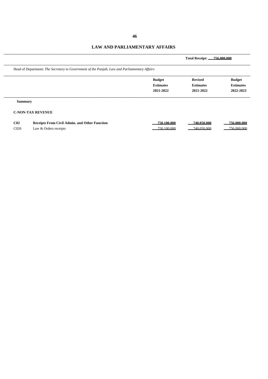# **LAW AND PARLIAMENTARY AFFAIRS**

|                                                                                              |                  | Total Receipt: 756,000,000 |                  |
|----------------------------------------------------------------------------------------------|------------------|----------------------------|------------------|
| Head of Department: The Secretary to Government of the Punjab, Law and Parliamentary Affairs |                  |                            |                  |
|                                                                                              | <b>Budget</b>    | <b>Revised</b>             | <b>Budget</b>    |
|                                                                                              | <b>Estimates</b> | <b>Estimates</b>           | <b>Estimates</b> |
|                                                                                              | 2021-2022        | 2021-2022                  | 2022-2023        |
| <b>Summary</b>                                                                               |                  |                            |                  |
| <b>C-NON-TAX REVENUE</b>                                                                     |                  |                            |                  |

| C02            | <b>Receipts From Civil Admin, and Other Function</b> | 750.100.000 | 740.050.000 | 756.000.000 |
|----------------|------------------------------------------------------|-------------|-------------|-------------|
| $\bigcirc$ 026 | Law & Orders receipts                                | 750.100.000 | 740.050.000 | 756.000.000 |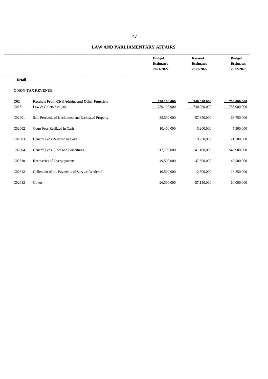#### **LAW AND PARLIAMENTARY AFFAIRS**

| <b>Budget</b>    | <b>Revised</b>   | <b>Budget</b>    |
|------------------|------------------|------------------|
| <b>Estimates</b> | <b>Estimates</b> | <b>Estimates</b> |
| 2021-2022        | 2021-2022        | 2022-2023        |
|                  |                  |                  |

**Detail**

| C <sub>02</sub>    | <b>Receipts From Civil Admin. and Other Function</b> | 750.100.000 | 740.050.000 | 756.000.000 |
|--------------------|------------------------------------------------------|-------------|-------------|-------------|
| C <sub>026</sub>   | Law & Orders receipts                                | 750.100.000 | 740.050.000 | 756,000,000 |
| C02601             | Sale Proceeds of Unclaimed and Escheated Property    | 35,500,000  | 57,350,000  | 63,750,000  |
| C <sub>02602</sub> | Court Fees Realized in Cash                          | 10,400,000  | 5,200,000   | 5,500,000   |
| C02603             | General Fees Realized in Cash                        |             | 19,250,000  | 21,100,000  |
| C02604             | General Fees, Fines and Forfeitures                  | 617,700,000 | 541,100,000 | 543,900,000 |
| C02610             | Recoveries of Overpayments                           | 49,500,000  | 47,500,000  | 48,500,000  |
| C <sub>02612</sub> | Collection of the Payments of Service Rendered       | 10,500,000  | 12,500,000  | 13,250,000  |
| C02613             | Others                                               | 26,500,000  | 57,150,000  | 60,000,000  |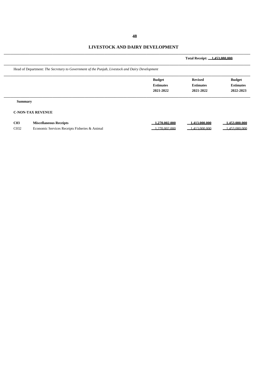# **LIVESTOCK AND DAIRY DEVELOPMENT**

|                                                                                                |                                                | Total Receipt: 1.453.080.000                    |                                                |
|------------------------------------------------------------------------------------------------|------------------------------------------------|-------------------------------------------------|------------------------------------------------|
| Head of Department: The Secretary to Government of the Punjab, Livestock and Dairy Development |                                                |                                                 |                                                |
|                                                                                                | <b>Budget</b><br><b>Estimates</b><br>2021-2022 | <b>Revised</b><br><b>Estimates</b><br>2021-2022 | <b>Budget</b><br><b>Estimates</b><br>2022-2023 |
| <b>Summary</b>                                                                                 |                                                |                                                 |                                                |
| <b>C-NON-TAX REVENUE</b>                                                                       |                                                |                                                 |                                                |
| C <sub>03</sub><br><b>Miscellaneous Receipts</b>                                               | 1.270.002.000                                  | 1.413.000.000                                   | 1.453.080.000                                  |

| C03  | <b>Miscellaneous Receipts</b>                               | .270.002.000    | 1.000.000    | .080.000 |
|------|-------------------------------------------------------------|-----------------|--------------|----------|
| C032 | Economic Services Receipts Fisheries $\alpha$<br>. & Anımal | .000<br>270.002 | 000<br>, 000 | .080.000 |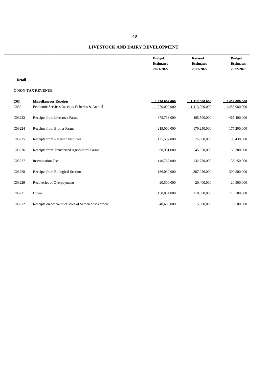# **49**

#### **LIVESTOCK AND DAIRY DEVELOPMENT**

| <b>Budget</b>    | <b>Revised</b>   | <b>Budget</b>    |
|------------------|------------------|------------------|
| <b>Estimates</b> | <b>Estimates</b> | <b>Estimates</b> |
| 2021-2022        | 2021-2022        | 2022-2023        |
|                  |                  |                  |

**Detail**

| C <sub>03</sub>   | <b>Miscellaneous Receipts</b>                     | .270.002.000 | 1.413.000.000 | .453.080.000 |
|-------------------|---------------------------------------------------|--------------|---------------|--------------|
| C <sub>0</sub> 32 | Economic Services Receipts Fisheries & Animal     | .270.002.000 | 1.413.000.000 | 453.080.000  |
| C03223            | Receipts from Livestock Farms                     | 375,733,000  | 465,500,000   | 465,400,000  |
| C03224            | Receipts from Broiler Farms                       | 219,000,000  | 170,250,000   | 175,200,000  |
| C03225            | Receipts from Research Institutes                 | 125,587,000  | 75,500,000    | 95,430,000   |
| C03226            | Receipts from Transferred Agricultural Farms      | 60,951,000   | 45,550,000    | 50,300,000   |
| C03227            | <b>Insemination Fees</b>                          | 140,767,000  | 132,750,000   | 135,150,000  |
| C03228            | Receipts from Biological Section                  | 136,030,000  | 387,050,000   | 390,500,000  |
| C03229            | Recoveries of Overpayments                        | 20,500,000   | 20,400,000    | 20,500,000   |
| C03231            | Others                                            | 150,834,000  | 110,500,000   | 115,100,000  |
| C03232            | Receipts on account of sales of Semen doses procu | 40,600,000   | 5,500,000     | 5,500,000    |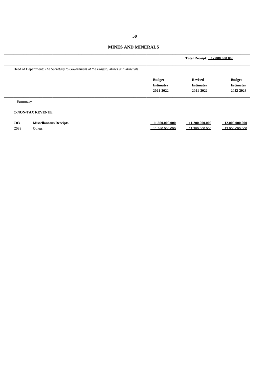#### **MINES AND MINERALS**

|                  |                                                                                   |                                                | Total Receipt: 12.000.000.000                   |                                                |  |  |  |  |
|------------------|-----------------------------------------------------------------------------------|------------------------------------------------|-------------------------------------------------|------------------------------------------------|--|--|--|--|
|                  | Head of Department: The Secretary to Government of the Punjab, Mines and Minerals |                                                |                                                 |                                                |  |  |  |  |
|                  |                                                                                   | <b>Budget</b><br><b>Estimates</b><br>2021-2022 | <b>Revised</b><br><b>Estimates</b><br>2021-2022 | <b>Budget</b><br><b>Estimates</b><br>2022-2023 |  |  |  |  |
| <b>Summary</b>   |                                                                                   |                                                |                                                 |                                                |  |  |  |  |
|                  | <b>C-NON-TAX REVENUE</b>                                                          |                                                |                                                 |                                                |  |  |  |  |
| C <sub>03</sub>  | <b>Miscellaneous Receipts</b>                                                     | $-11.660.000.000$                              | $-11.200.000.000$                               | $\_12,000,000,000$                             |  |  |  |  |
| C <sub>038</sub> | Others                                                                            | 11.660.000.000                                 | 11.200.000.000                                  | 12.000.000.000                                 |  |  |  |  |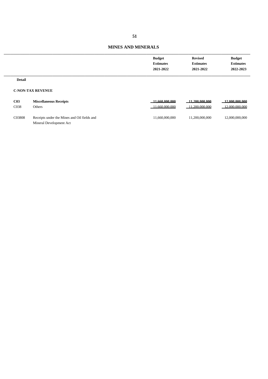| <b>Budget</b>    | <b>Revised</b>   | <b>Budget</b>    |
|------------------|------------------|------------------|
| <b>Estimates</b> | <b>Estimates</b> | <b>Estimates</b> |
| 2021-2022        | 2021-2022        | 2022-2023        |
|                  |                  |                  |

#### **Detail**

| C03              | <b>Miscellaneous Receipts</b>               | 11.660.000.000 | 11.200.000.000 | 12.000.000.000 |
|------------------|---------------------------------------------|----------------|----------------|----------------|
| C <sub>038</sub> | Others                                      | 11.660.000.000 | 11.200.000.000 | 2,000,000,000  |
| C03808           | Receipts under the Mines and Oil fields and | 11.660.000.000 | 11.200.000.000 | 12,000,000,000 |
|                  | Mineral Development Act                     |                |                |                |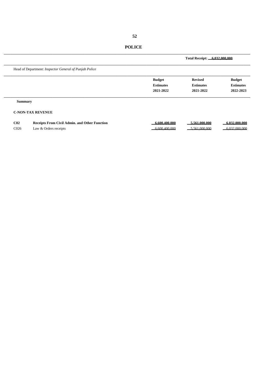|                                                        |                  | Total Receipt: 6,032,000,000 |                  |  |
|--------------------------------------------------------|------------------|------------------------------|------------------|--|
| Head of Department: Inspector General of Punjab Police |                  |                              |                  |  |
|                                                        | <b>Budget</b>    | <b>Revised</b>               | <b>Budget</b>    |  |
|                                                        | <b>Estimates</b> | <b>Estimates</b>             | <b>Estimates</b> |  |
|                                                        | 2021-2022        | 2021-2022                    | 2022-2023        |  |
| <b>Summary</b>                                         |                  |                              |                  |  |
| <b>C-NON-TAX REVENUE</b>                               |                  |                              |                  |  |

| C02              | <b>Receipts From Civil Admin, and Other Function</b> | 6.600.400.000 | 5.561.000.000 | 6.032.000.000 |
|------------------|------------------------------------------------------|---------------|---------------|---------------|
| C <sub>026</sub> | Law & Orders receipts                                | 6.600.400.000 | 5.561.000.000 | 6.032.000.000 |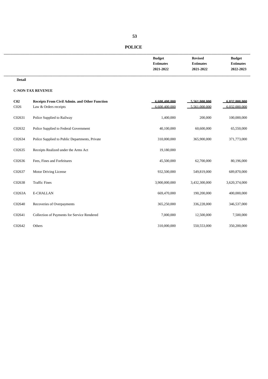| <b>Budget</b>    | <b>Revised</b>   | <b>Budget</b>    |
|------------------|------------------|------------------|
| <b>Estimates</b> | <b>Estimates</b> | <b>Estimates</b> |
| 2021-2022        | 2021-2022        | 2022-2023        |
|                  |                  |                  |

#### **Detail**

| C <sub>02</sub><br>C <sub>026</sub> | <b>Receipts From Civil Admin. and Other Function</b><br>Law & Orders receipts | 6.600.400.000<br>6.600.400.000 | 5.561.000.000<br>5.561.000.000 | 6.032.000.000<br>6.032.000.000 |
|-------------------------------------|-------------------------------------------------------------------------------|--------------------------------|--------------------------------|--------------------------------|
| C02631                              | Police Supplied to Railway                                                    | 1,400,000                      | 200,000                        | 100,000,000                    |
| C02632                              | Police Supplied to Federal Government                                         | 40,100,000                     | 60,600,000                     | 65,550,000                     |
| C02634                              | Police Supplied to Public Departments, Private                                | 310,000,000                    | 365,900,000                    | 371,773,000                    |
| C02635                              | Receipts Realized under the Arms Act                                          | 19,180,000                     |                                |                                |
| C02636                              | Fees, Fines and Forfeitures                                                   | 45,500,000                     | 62,700,000                     | 80,196,000                     |
| C02637                              | Motor Driving License                                                         | 932,500,000                    | 549,819,000                    | 689,870,000                    |
| C02638                              | <b>Traffic Fines</b>                                                          | 3,900,000,000                  | 3,432,300,000                  | 3,620,374,000                  |
| C0263A                              | <b>E-CHALLAN</b>                                                              | 669,470,000                    | 190,200,000                    | 400,000,000                    |
| C02640                              | Recoveries of Overpayments                                                    | 365,250,000                    | 336,228,000                    | 346,537,000                    |
| C02641                              | Collection of Payments for Service Rendered                                   | 7,000,000                      | 12,500,000                     | 7,500,000                      |
| C02642                              | Others                                                                        | 310,000,000                    | 550,553,000                    | 350,200,000                    |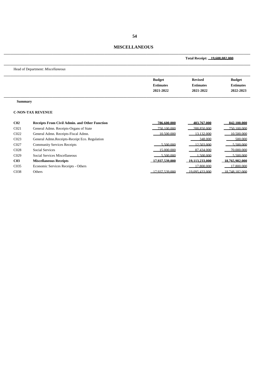# **MISCELLANEOUS**

\_\_\_\_\_\_\_\_\_\_\_\_\_\_\_\_\_\_\_\_\_\_\_\_\_\_\_\_\_\_\_\_\_\_\_\_\_\_\_\_\_\_\_\_\_\_\_\_\_\_\_\_\_\_\_\_\_\_\_\_\_\_\_\_\_\_\_\_\_\_\_\_\_\_\_\_

|                   |                                                      | Total Receipt: 19.608.082.000                  |                                                 |                                                |
|-------------------|------------------------------------------------------|------------------------------------------------|-------------------------------------------------|------------------------------------------------|
|                   | Head of Department: Miscellaneous                    |                                                |                                                 |                                                |
|                   |                                                      | <b>Budget</b><br><b>Estimates</b><br>2021-2022 | <b>Revised</b><br><b>Estimates</b><br>2021-2022 | <b>Budget</b><br><b>Estimates</b><br>2022-2023 |
| <b>Summary</b>    |                                                      |                                                |                                                 |                                                |
|                   | <b>C-NON-TAX REVENUE</b>                             |                                                |                                                 |                                                |
| C <sub>02</sub>   | <b>Receipts From Civil Admin. and Other Function</b> | 786.600.000                                    | 403.767.000                                     | 842.100.000                                    |
| CO <sub>21</sub>  | General Admn. Receipts-Organs of State               | 750,100,000                                    | 288.850.000                                     | 750.100.000                                    |
| C022              | General Admn. Receipts-Fiscal Admn.                  | 10.500.000                                     | 13 132 000                                      | 10.500.000                                     |
| CO <sub>23</sub>  | General Admn.Receipts-Receipt Eco. Regulation        |                                                | 348,000                                         | 500,000                                        |
| C027              | <b>Community Services Receipts</b>                   | 5.500.000                                      | 12.503.000                                      | 5.500.000                                      |
| C028              | <b>Social Services</b>                               | 15,000,000                                     | 87.434,000                                      | 70 000 000                                     |
| C <sub>029</sub>  | Social Services Miscellaneous                        | 5.500.000                                      | .500,000                                        | 5.500.000                                      |
| C <sub>03</sub>   | <b>Miscellaneous Receipts</b>                        | 17.937.539.000                                 | 19.113.233.000                                  | 18.765.982.000                                 |
| C <sub>0</sub> 35 | Economic Services Receipts - Others                  |                                                | 17 800 000                                      | 17 800 000                                     |
| C <sub>038</sub>  | Others                                               | 17.937.539.000                                 | 19.095.433.000                                  | 18.748.182.000                                 |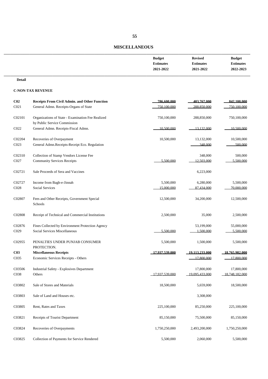# **MISCELLANEOUS**

| <b>Budget</b>    | <b>Revised</b>   | <b>Budget</b>    |
|------------------|------------------|------------------|
| <b>Estimates</b> | <b>Estimates</b> | <b>Estimates</b> |
| 2021-2022        | 2021-2022        | 2022-2023        |
|                  |                  |                  |

**Detail**

| C <sub>02</sub>  | <b>Receipts From Civil Admin. and Other Function</b>                              | 786.600.000    | 403.767.000    | 842.100.000    |
|------------------|-----------------------------------------------------------------------------------|----------------|----------------|----------------|
| C <sub>021</sub> | General Admn. Receipts-Organs of State                                            | 750.100.000    | 288.850.000    | 750.100.000    |
| C02101           | Organizations of State - Examination Fee Realized<br>by Public Service Commission | 750,100,000    | 288,850,000    | 750,100,000    |
| C022             | General Admn. Receipts-Fiscal Admn.                                               | 10.500,000     | 13.132.000     | 10.500.000     |
| C02204           | Recoveries of Overpayment                                                         | 10,500,000     | 13,132,000     | 10,500,000     |
| C023             | General Admn.Receipts-Receipt Eco. Regulation                                     |                | 348,000        | 500,000        |
| C02310           | Collection of Stamp Vendors License Fee                                           |                | 348,000        | 500,000        |
| CO27             | <b>Community Services Receipts</b>                                                | 5.500.000      | 12.503.000     | 5.500.000      |
| C02721           | Sale Proceeds of Sera and Vaccines                                                |                | 6,223,000      |                |
| C02727           | Income from Bagh-e-Jinnah                                                         | 5,500,000      | 6,280,000      | 5,500,000      |
| C028             | <b>Social Services</b>                                                            | 15 000 000     | 87 434 000     | 70,000,000     |
| C02807           | Fees and Other Receipts, Government Special<br>Schools                            | 12,500,000     | 34,200,000     | 12,500,000     |
| C02808           | Receipt of Technical and Commercial Institutions                                  | 2,500,000      | 35,000         | 2,500,000      |
| C02876           | Fines Collected by Environment Protection Agency                                  |                | 53,199,000     | 55,000,000     |
| C029             | <b>Social Services Miscellaneous</b>                                              | 5.500.000      | 1.500.000      | 5.500.000      |
| C02955           | PENALTIES UNDER PUNJAB CONSUMER<br>PROTECTION.                                    | 5,500,000      | 1,500,000      | 5,500,000      |
| C <sub>03</sub>  | <b>Miscellaneous Receipts</b>                                                     | 17.937.539.000 | 19,113,233,000 | 18.765.982.000 |
| C035             | Economic Services Receipts - Others                                               |                | 17,800,000     | 17 800 000     |
| C03506           | Industrial Safety - Explosives Department                                         |                | 17,800,000     | 17,800,000     |
| C038             | Others                                                                            | 17.937.539.000 | 19 095 433 000 | 18 748 182 000 |
| C03802           | Sale of Stores and Materials                                                      | 18,500,000     | 5,659,000      | 18,500,000     |
| C03803           | Sale of Land and Houses etc.                                                      |                | 3,308,000      |                |
| C03805           | Rent, Rates and Taxes                                                             | 225,100,000    | 85,250,000     | 225,100,000    |
| C03821           | Receipts of Tourist Department                                                    | 85,150,000     | 75,500,000     | 85,150,000     |
| C03824           | Recoveries of Overpayments                                                        | 1,750,250,000  | 2,493,200,000  | 1,750,250,000  |
| C03825           | Collection of Payments for Service Rendered                                       | 5,500,000      | 2,060,000      | 5,500,000      |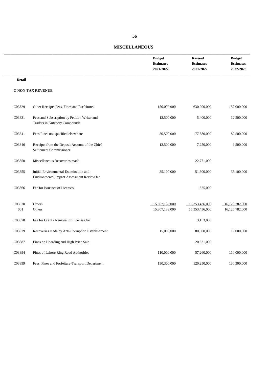# **MISCELLANEOUS**

|                   |                                                                                     | <b>Budget</b><br><b>Estimates</b><br>2021-2022 | <b>Revised</b><br><b>Estimates</b><br>2021-2022 | <b>Budget</b><br><b>Estimates</b><br>2022-2023 |
|-------------------|-------------------------------------------------------------------------------------|------------------------------------------------|-------------------------------------------------|------------------------------------------------|
| <b>Detail</b>     |                                                                                     |                                                |                                                 |                                                |
|                   | <b>C-NON-TAX REVENUE</b>                                                            |                                                |                                                 |                                                |
| C03829            | Other Receipts Fees, Fines and Forfeitures                                          | 150,000,000                                    | 630,200,000                                     | 150,000,000                                    |
| C03831            | Fees and Subscription by Petition Writer and<br>Traders in Kutchery Compounds       | 12,500,000                                     | 5,400,000                                       | 12,500,000                                     |
| C03841            | Fees Fines not specified elsewhere                                                  | 80,500,000                                     | 77,580,000                                      | 80,500,000                                     |
| C03846            | Receipts from the Deposit Account of the Chief<br>Settlement Commissioner           | 12,500,000                                     | 7,250,000                                       | 9,500,000                                      |
| C03850            | Miscellaneous Recoveries made                                                       |                                                | 22,771,000                                      |                                                |
| C03855            | Initial Environmental Examination and<br>Environmental Impact Assessment Review fee | 35,100,000                                     | 51,600,000                                      | 35,100,000                                     |
| C03866            | Fee for Issuance of Licenses                                                        |                                                | 525,000                                         |                                                |
| C03870<br>$001\,$ | Others<br>Others                                                                    | 15 307 139 000<br>15,307,139,000               | 15 353 436 000<br>15,353,436,000                | 16 120 782 000<br>16,120,782,000               |
| C03878            | Fee for Grant / Renewal of Licenses for                                             |                                                | 3,153,000                                       |                                                |
| C03879            | Recoveries made by Anti-Corruption Establishment                                    | 15,000,000                                     | 80,500,000                                      | 15,000,000                                     |
| C03887            | Fines on Hoarding and High Price Sale                                               |                                                | 20,531,000                                      |                                                |
| C03894            | Fines of Lahore Ring Road Authorities                                               | 110,000,000                                    | 57,260,000                                      | 110,000,000                                    |
| C03899            | Fees, Fines and Forfeiture-Transport Department                                     | 130,300,000                                    | 120,250,000                                     | 130,300,000                                    |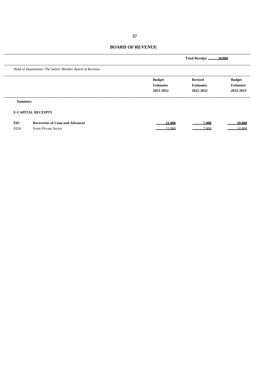|                |                                                        |                                                | Total Receipt: 10.000                           |                                                |  |
|----------------|--------------------------------------------------------|------------------------------------------------|-------------------------------------------------|------------------------------------------------|--|
|                | Head of Department: The Senior Member Board of Revenue |                                                |                                                 |                                                |  |
|                |                                                        | <b>Budget</b><br><b>Estimates</b><br>2021-2022 | <b>Revised</b><br><b>Estimates</b><br>2021-2022 | <b>Budget</b><br><b>Estimates</b><br>2022-2023 |  |
| <b>Summary</b> |                                                        |                                                |                                                 |                                                |  |
|                | <b>E-CAPITAL RECEIPTS</b>                              |                                                |                                                 |                                                |  |
| <b>E02</b>     | <b>Recoveries of Loan and Advances</b>                 | 21.000                                         | 7.000                                           | 10.000                                         |  |
| E026           | From Private Sector                                    | 21,000                                         | 7.000                                           | 10.000                                         |  |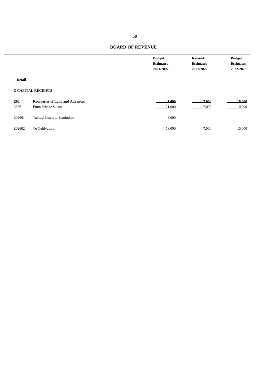|               |                                        | <b>Budget</b><br><b>Estimates</b><br>2021-2022 | <b>Revised</b><br><b>Estimates</b><br>2021-2022 | <b>Budget</b><br><b>Estimates</b><br>2022-2023 |
|---------------|----------------------------------------|------------------------------------------------|-------------------------------------------------|------------------------------------------------|
| <b>Detail</b> |                                        |                                                |                                                 |                                                |
|               | <b>E-CAPITAL RECEIPTS</b>              |                                                |                                                 |                                                |
| <b>E02</b>    | <b>Recoveries of Loan and Advances</b> | 21.000                                         | 7.000                                           | 10.000                                         |
| E026          | From Private Sector                    | 21,000                                         | 7.000                                           | 10.000                                         |
| E02601        | Taccavi Loans to Zamindars             | 3,000                                          |                                                 |                                                |
| E02602        | To Cultivators                         | 18,000                                         | 7,000                                           | 10,000                                         |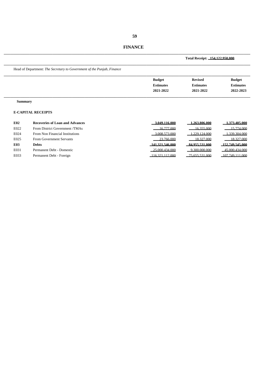**Total Receipt: 154,122,950,000**

\_\_\_\_\_\_\_\_\_\_\_\_\_\_\_\_\_\_\_\_\_\_\_\_\_\_\_\_\_\_\_\_\_\_\_\_\_\_\_\_\_\_\_\_\_\_\_\_\_\_\_\_\_\_\_\_\_\_\_\_\_\_\_\_\_\_\_\_\_\_\_\_\_\_\_\_

\_\_\_\_\_\_\_\_\_\_\_\_\_\_\_\_\_\_\_\_\_\_\_\_\_\_\_\_\_\_\_\_\_\_\_\_\_\_\_\_\_\_\_\_\_\_\_\_\_\_\_\_\_\_\_\_\_\_\_\_\_\_\_\_\_\_\_\_\_\_\_\_\_\_\_\_ Head of Department: *The Secretary to Government of the Punjab, Finance* \_\_\_\_\_\_\_\_\_\_\_\_\_\_\_\_\_\_\_\_\_\_\_\_\_\_\_\_\_\_\_\_\_\_\_\_\_\_\_\_\_\_\_\_\_\_\_\_\_\_\_\_\_\_\_\_\_\_\_\_\_\_\_\_\_\_\_\_\_\_\_\_\_\_\_\_ **Budget Revised Budget Estimates Estimates Estimates 2021-2022 2021-2022 2022-2023** \_\_\_\_\_\_\_\_\_\_\_\_\_\_\_\_\_\_\_\_\_\_\_\_\_\_\_\_\_\_\_\_\_\_\_\_\_\_\_\_\_\_\_\_\_\_\_\_\_\_\_\_\_\_\_\_\_\_\_\_\_\_\_\_\_\_\_\_\_\_\_\_\_\_\_\_ **Summary E-CAPITAL RECEIPTS** 

| E02  | <b>Recoveries of Loan and Advances</b> | 3.049.116.000     | .263.806.000   | .373.405.000       |
|------|----------------------------------------|-------------------|----------------|--------------------|
| E022 | From District Government /TMAs         | 16.777,000        | 16.355.000     | 15.774.000         |
| E024 | From Non Financial Institutions        | 3.008.573.000     | 1.229.124.000  | 339.304.000        |
| E025 | From Government Servants               | 23.766.000        | 18.327.000     | 18.327.000         |
| E03  | <b>Debts</b>                           | 141.321.546.000   | 84.955.531.000 | 152.749.545.000    |
| E031 | Permanent Debt - Domestic              | $-25,000,434,000$ | 9.300.000.000  | 45,000,434,000     |
| E033 | Permanent Debt - Foreign               | $-116321112000$   | 75.655.531.000 | $-107.749.111.000$ |
|      |                                        |                   |                |                    |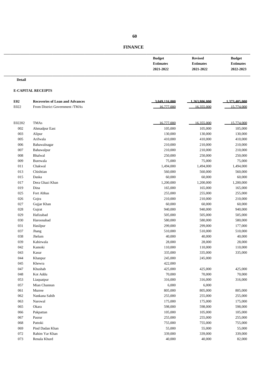| <b>Budget</b>    | <b>Revised</b>   | <b>Budget</b>    |
|------------------|------------------|------------------|
| <b>Estimates</b> | <b>Estimates</b> | <b>Estimates</b> |
| 2021-2022        | 2021-2022        | 2022-2023        |
|                  |                  |                  |

#### **Detail**

#### **E-CAPITAL RECEIPTS**

| E02    | <b>Recoveries of Loan and Advances</b> | 3.049.116.000 | 1,263,806,000 | 1.373.405.000 |
|--------|----------------------------------------|---------------|---------------|---------------|
| E022   | From District Government /TMAs         | 16.777.000    | 16.355.000    | 15,774,000    |
|        |                                        |               |               |               |
| E02202 | <b>TMAs</b>                            | 16.777.000    | 16.355.000    | 15,774,000    |
| 002    | Ahmadpur East                          | 105,000       | 105,000       | 105,000       |
| 003    | Alipur                                 | 130,000       | 130,000       | 130,000       |
| 005    | Arifwala                               | 410,000       | 410,000       | 410,000       |
| 006    | Bahawalnagar                           | 210,000       | 210,000       | 210,000       |
| 007    | Bahawalpur                             | 210,000       | 210,000       | 210,000       |
| 008    | Bhalwal                                | 250,000       | 250,000       | 250,000       |
| 009    | Burewala                               | 75,000        | 75,000        | 75,000        |
| 011    | Chakwal                                | 1,494,000     | 1,494,000     | 1,494,000     |
| 013    | Chishtian                              | 560,000       | 560,000       | 560,000       |
| 015    | Daska                                  | 60,000        | 60,000        | 60,000        |
| 017    | Dera Ghazi Khan                        | 1,200,000     | 1,200,000     | 1,200,000     |
| 019    | Dina                                   | 165,000       | 165,000       | 165,000       |
| 025    | Fort Abbas                             | 255,000       | 255,000       | 255,000       |
| 026    | Gojra                                  | 210,000       | 210,000       | 210,000       |
| 027    | Gujjar Khan                            | 60,000        | 60,000        | 60,000        |
| 028    | Gujrat                                 | 940,000       | 940,000       | 940,000       |
| 029    | Hafizabad                              | 505,000       | 505,000       | 505,000       |
| 030    | Haroonabad                             | 580,000       | 580,000       | 580,000       |
| 031    | Hasilpur                               | 299,000       | 299,000       | 177,000       |
| 037    | Jhang                                  | 510,000       | 510,000       | 510,000       |
| 038    | Jhelum                                 | 40,000        | 40,000        | 40,000        |
| 039    | Kabirwala                              | 28,000        | 28,000        | 28,000        |
| 042    | Kamoki                                 | 110,000       | 110,000       | 110,000       |
| 043    | Kasur                                  | 335,000       | 335,000       | 335,000       |
| 044    | Khanpur                                | 245,000       | 245,000       |               |
| 045    | Khewra                                 | 422,000       |               |               |
| 047    | Khushab                                | 425,000       | 425,000       | 425,000       |
| 048    | Kot Addu                               | 70,000        | 70,000        | 70,000        |
| 053    | Liaquatpur                             | 316,000       | 316,000       | 316,000       |
| 057    | Mian Channun                           | 6,000         | 6,000         |               |
| 061    | Murree                                 | 805,000       | 805,000       | 805,000       |
| 062    | Nankana Sahib                          | 255,000       | 255,000       | 255,000       |
| 063    | Narowal                                | 175,000       | 175,000       | 175,000       |
| 065    | Okara                                  | 598,000       | 598,000       | 598,000       |
| 066    | Pakpattan                              | 105,000       | 105,000       | 105,000       |
| 067    | Pasrur                                 | 255,000       | 255,000       | 255,000       |
| 068    | Pattoki                                | 755,000       | 755,000       | 755,000       |
| 069    | Pind Dadan Khan                        | 55,000        | 55,000        | 55,000        |
| 072    | Rahim Yar Khan                         | 339,000       | 339,000       | 339,000       |
| 073    | Renala Khurd                           | 40,000        | 40,000        | 82,000        |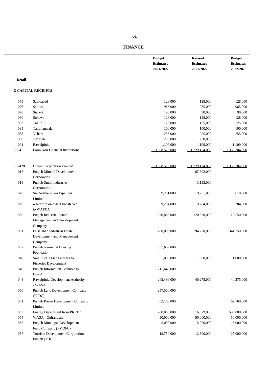|               |                                                  | <b>Budget</b><br><b>Estimates</b><br>2021-2022 | <b>Revised</b><br><b>Estimates</b><br>2021-2022 | <b>Budget</b><br><b>Estimates</b><br>2022-2023 |
|---------------|--------------------------------------------------|------------------------------------------------|-------------------------------------------------|------------------------------------------------|
| <b>Detail</b> |                                                  |                                                |                                                 |                                                |
|               | <b>E-CAPITAL RECEIPTS</b>                        |                                                |                                                 |                                                |
| 075           | Sadiqabad                                        | 128,000                                        | 128,000                                         | 128,000                                        |
| 076           | Sahiwal                                          | 985,000                                        | 985,000                                         | 985,000                                        |
| 078           | Sialkot                                          | 90,000                                         | 90,000                                          | 90,000                                         |
| 080           | Sohawa                                           | 128,000                                        | 128,000                                         | 128,000                                        |
| 082           | Taxila                                           | 125,000                                        | 125,000                                         | 125,000                                        |
| 085           | Tandlianwala                                     | 100,000                                        | 100,000                                         | 100,000                                        |
| 088           | Vehari                                           | 255,000                                        | 255,000                                         | 255,000                                        |
| 090           | Yazman                                           | 250,000                                        | 250,000                                         |                                                |
| 091           | Rawalpinidi                                      | 1,109,000                                      | 1,109,000                                       | 1,109,000                                      |
| E024          | From Non Financial Institutions                  | 3 008 573 000                                  | 1 229 124 000                                   | 339.304.000                                    |
|               |                                                  |                                                |                                                 |                                                |
| E02420        | Others Corporation Limited                       | 3 008 573 000                                  | 1 229 124 000                                   | 1.339.304.000                                  |
| 017           | Punjab Mineral Development                       |                                                | 67,302,000                                      |                                                |
|               | Corporation                                      |                                                |                                                 |                                                |
| 018           | Punjab Small Industries                          |                                                | 3,133,000                                       |                                                |
|               | Corporation                                      |                                                |                                                 |                                                |
| 028           | Sui Northern Gas Pipelines                       | 9,251,000                                      | 9,251,000                                       | 3,618,000                                      |
|               | Limited                                          |                                                |                                                 |                                                |
| 029           | 4% retrun on assets transferred                  | 9,284,000                                      | 9,284,000                                       | 9,284,000                                      |
|               | to WAPDA                                         |                                                |                                                 |                                                |
| 030           | Punjab Industrial Estate                         | 670,883,000                                    | 120,550,000                                     | 120,550,000                                    |
|               | Management and Development                       |                                                |                                                 |                                                |
|               | Company                                          |                                                |                                                 |                                                |
| 031           | Faisalabad Industrial Estate                     | 700,000,000                                    | 394,750,000                                     | 344,750,000                                    |
|               | Development and Management                       |                                                |                                                 |                                                |
|               | Company                                          |                                                |                                                 |                                                |
| 037           | Punjab Journalist Housing                        | 567,609,000                                    |                                                 |                                                |
|               | Foundation                                       |                                                |                                                 |                                                |
| 040           | Small Scale Fish Farmers for                     | 1,000,000                                      | 1,000,000                                       | 1,000,000                                      |
|               | <b>Fisheries Development</b>                     |                                                |                                                 |                                                |
| 046           | Punjab Information Technology                    | 211,640,000                                    |                                                 |                                                |
|               | Board                                            |                                                |                                                 |                                                |
| 048           | Rawalpinid Development Authority                 | 245,496,000                                    | 40,275,000                                      | 40,275,000                                     |
|               | - WASA                                           |                                                |                                                 |                                                |
| 050           | Punjab Land Development Company                  | 257,500,000                                    |                                                 |                                                |
|               | (PLDC)                                           |                                                |                                                 |                                                |
| 051           | Punjab Power Development Company                 | 62,160,000                                     |                                                 | 62,160,000                                     |
|               | Limited                                          |                                                |                                                 |                                                |
| 053           | Energy Department from PRFTC                     | 200,000,000                                    | 516,079,000                                     | 500,000,000                                    |
| 054           | WASA - Gujranwala                                | 50,000,000                                     | 50,000,000                                      | 50,000,000                                     |
| 055           | Punjab Municipal Development                     | 5,000,000                                      | 5,000,000                                       | 15,000,000                                     |
| 057           | Fund Company (PMDFC)                             |                                                |                                                 |                                                |
|               | Tourism Development Corporation<br>Punjab (TDCP) | 18,750,000                                     | 12,500,000                                      | 25,000,000                                     |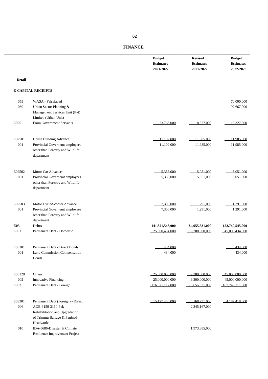|                       |                                                                                                                           | <b>Budget</b><br><b>Estimates</b><br>2021-2022      | <b>Revised</b><br><b>Estimates</b><br>2021-2022  | <b>Budget</b><br><b>Estimates</b><br>2022-2023      |
|-----------------------|---------------------------------------------------------------------------------------------------------------------------|-----------------------------------------------------|--------------------------------------------------|-----------------------------------------------------|
| <b>Detail</b>         |                                                                                                                           |                                                     |                                                  |                                                     |
|                       | <b>E-CAPITAL RECEIPTS</b>                                                                                                 |                                                     |                                                  |                                                     |
| 059<br>060            | WASA - Faisalabad<br>Urban Sector Planning &<br>Management Services Unit (Pvt)                                            |                                                     |                                                  | 70,000,000<br>97,667,000                            |
| E025                  | Limited (Urban Unit)<br>From Government Servants                                                                          | 23.766.000                                          | 18.327.000                                       | 18.327.000                                          |
| E02501<br>001         | House Building Advance<br>Provincial Governemt employees<br>other than Forestry and Wildlife<br>department                | 11 102 000<br>11,102,000                            | 11.985.000<br>11,985,000                         | 11.985.000<br>11,985,000                            |
| E02502<br>001         | Motor Car Advance<br>Provincial Governemt employees<br>other than Forestry and Wildlife<br>department                     | 5.358.000<br>5,358,000                              | 5.051.000<br>5,051,000                           | 5.051.000<br>5,051,000                              |
| E02503<br>$001\,$     | Motor Cycle/Scooter Advance<br>Provincial Governemt employees<br>other than Forestry and Wildlife                         | 7.306.000<br>7,306,000                              | 1.291.000<br>1,291,000                           | 1.291.000<br>1,291,000                              |
| <b>E03</b><br>E031    | department<br><b>Debts</b><br>Permanent Debt - Domestic                                                                   | 141.321.546.000<br>25 000 434 000                   | 84.955.531.000<br>9.300.000.000                  | 152.749.545.000<br>45 000 434 000                   |
| E03101<br>$\rm 001$   | Permanent Debt - Direct Bonds<br>Land Commission Compensation<br><b>Bonds</b>                                             | 434,000<br>434,000                                  |                                                  | 434 000<br>434,000                                  |
| E03120<br>002<br>E033 | Others<br>Innovative Financing<br>Permanent Debt - Foreign                                                                | 25 000 000 000<br>25,000,000,000<br>116 321 112 000 | 9.300.000.000<br>9,300,000,000<br>75 655 531 000 | 45 000 000 000<br>45,000,000,000<br>107.749.111.000 |
| E03301<br>006         | Permanent Debt (Foreign) - Direct<br>ADB-3159-3160-Pak -<br>Rehabilitation and Upgradation<br>of Trimmu Barrage & Panjnad | $-15177456000$                                      | 20 168 731 000<br>2,345,167,000                  | $-4.187.418.000$                                    |
| 010                   | Headworks<br>IDA-5686-Disaster & Climate<br>Resilience Improvement Project                                                |                                                     | 1,973,885,000                                    |                                                     |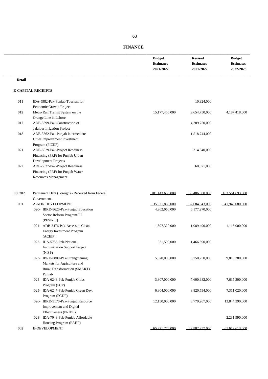| <b>FINANCE</b> |
|----------------|
|----------------|

\_\_\_\_\_\_\_\_\_\_\_\_\_\_\_\_\_\_\_\_\_\_\_\_\_\_\_\_\_\_\_\_\_\_\_\_\_\_\_\_\_\_\_\_\_\_\_\_\_\_\_\_\_\_\_\_\_\_\_\_\_\_\_\_\_\_\_\_\_\_\_\_\_\_\_\_

|               |                                                  | <b>Budget</b><br><b>Estimates</b><br>2021-2022 | <b>Revised</b><br><b>Estimates</b><br>2021-2022 | <b>Budget</b><br><b>Estimates</b><br>2022-2023 |
|---------------|--------------------------------------------------|------------------------------------------------|-------------------------------------------------|------------------------------------------------|
| <b>Detail</b> |                                                  |                                                |                                                 |                                                |
|               | <b>E-CAPITAL RECEIPTS</b>                        |                                                |                                                 |                                                |
| 011           | IDA-5982-Pak-Punjab Tourism for                  |                                                | 10,924,000                                      |                                                |
|               | Economic Growth Project                          |                                                |                                                 |                                                |
| 012           | Metro Rail Transit System on the                 | 15, 177, 456, 000                              | 9,654,750,000                                   | 4,187,418,000                                  |
|               | Orange Line in Lahore                            |                                                |                                                 |                                                |
| 017           | ADB-3599-Pak-Construction of                     |                                                | 4,289,750,000                                   |                                                |
|               | Jalalpur Irrigation Project                      |                                                |                                                 |                                                |
| 018           | ADB-3562-Pak-Punjab Intermediate                 |                                                | 1,518,744,000                                   |                                                |
|               | Cities Improvement Investment                    |                                                |                                                 |                                                |
|               | Program (PICIIP)                                 |                                                |                                                 |                                                |
| 021           | ADB-6029-Pak-Project Readiness                   |                                                | 314,840,000                                     |                                                |
|               | Financing (PRF) for Punjab Urban                 |                                                |                                                 |                                                |
|               | Development Projects                             |                                                |                                                 |                                                |
| 022           | ADB-6027-Pak-Project Readiness                   |                                                | 60,671,000                                      |                                                |
|               | Financing (PRF) for Punjab Water                 |                                                |                                                 |                                                |
|               | Resources Management                             |                                                |                                                 |                                                |
| E03302        | Permanent Debt (Foreign) - Received from Federal | 101 143 656 000                                | 55 486 800 000                                  | 103 561 693 000                                |
|               | Government                                       |                                                |                                                 |                                                |
| 001           | A-NON DEVELOPMENT                                | 35 921 880 000                                 | 32.684.543.000                                  | 41 949 080 000                                 |
|               | 020- IBRD-8620-Pak-Punjab Education              | 4,962,060,000                                  | 6,177,270,000                                   |                                                |
|               | Sector Reform Program-III                        |                                                |                                                 |                                                |
|               | $(PESP-III)$                                     |                                                |                                                 |                                                |
|               | 021- ADB-3476-Pak-Access to Clean                | 1,597,320,000                                  | 1,089,490,000                                   | 1,116,000,000                                  |
|               | <b>Energy Investment Program</b>                 |                                                |                                                 |                                                |
|               | (ACEIP)                                          |                                                |                                                 |                                                |
|               | 022- IDA-5786-Pak-National                       | 931,500,000                                    | 1,466,690,000                                   |                                                |
|               | <b>Immunization Support Project</b>              |                                                |                                                 |                                                |
|               | (NISP)                                           |                                                |                                                 |                                                |
|               | 023- IBRD-8809-Pak-Strengthening                 | 5,670,000,000                                  | 3,750,250,000                                   | 9,810,380,000                                  |
|               | Markets for Agriculture and                      |                                                |                                                 |                                                |
|               | Rural Transformation (SMART)                     |                                                |                                                 |                                                |
|               | Punjab                                           |                                                |                                                 |                                                |
|               | 024- IDA-6243-Pak-Punjab Cities                  | 3,807,000,000                                  | 7,600,982,000                                   | 7,635,300,000                                  |
|               | Program (PCP)                                    |                                                |                                                 |                                                |
|               | 025- IDA-6247-Pak-Punjab Green Dev.              | 6,804,000,000                                  | 3,820,594,000                                   | 7,311,020,000                                  |
|               | Program (PGDP)                                   |                                                |                                                 |                                                |
|               | 026- IBRD-9170-Pak-Punjab Resource               | 12,150,000,000                                 | 8,779,267,000                                   | 13,844,390,000                                 |
|               | Improvement and Digital                          |                                                |                                                 |                                                |
|               | Effectiveness (PRIDE)                            |                                                |                                                 |                                                |
|               | 028- IDA-7043-Pak-Punjab Affordable              |                                                |                                                 | 2,231,990,000                                  |
|               | Housing Program (PAHP)                           |                                                |                                                 |                                                |
| 002           | <b>B-DEVELOPMENT</b>                             | 65 221 776 000                                 | 22.802.257.000                                  | 61,612,613,000                                 |

 **63**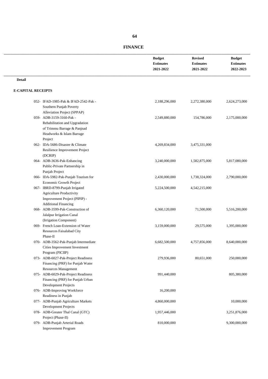|                                                                                                                                                                  | <b>Budget</b><br><b>Estimates</b><br>2021-2022 | <b>Revised</b><br><b>Estimates</b><br>2021-2022 | <b>Budget</b><br><b>Estimates</b><br>2022-2023 |
|------------------------------------------------------------------------------------------------------------------------------------------------------------------|------------------------------------------------|-------------------------------------------------|------------------------------------------------|
| <b>Detail</b>                                                                                                                                                    |                                                |                                                 |                                                |
| <b>E-CAPITAL RECEIPTS</b>                                                                                                                                        |                                                |                                                 |                                                |
| 052- IFAD-1985-Pak & IFAD-2542-Pak -<br>Southern Punjab Poverty                                                                                                  | 2,188,296,000                                  | 2,272,380,000                                   | 2,624,273,000                                  |
| Alleviation Project (SPPAP)<br>059- ADB-3159-3160-Pak -<br>Rehabilitation and Upgradation<br>of Trimmu Barrage & Panjnad<br>Headworks & Islam Barrage<br>Project | 2,549,880,000                                  | 154,786,000                                     | 2,175,000,000                                  |
| 062- IDA-5686-Disaster & Climate<br>Resilience Improvement Project<br>(DCRIP)                                                                                    | 4,269,834,000                                  | 3,475,331,000                                   |                                                |
| 064- ADB-3636-Pak-Enhancing<br>Public-Private Partnership in<br>Punjab Project                                                                                   | 3,240,000,000                                  | 1,582,875,000                                   | 5,817,080,000                                  |
| 066- IDA-5982-Pak-Punjab Tourism for<br>Economic Growth Project                                                                                                  | 2,430,000,000                                  | 1,738,324,000                                   | 2,790,000,000                                  |
| 067- IBRD-8799-Punjab Irrigated<br><b>Agriculture Productivity</b><br>Improvement Project (PIPIP) -<br><b>Additional Financing</b>                               | 5,224,500,000                                  | 4,542,215,000                                   |                                                |
| 068- ADB-3599-Pak-Construction of<br>Jalalpur Irrigation Canal<br>(Irrigation Component)                                                                         | 6,360,120,000                                  | 71,500,000                                      | 5,516,200,000                                  |
| 069- French Loan-Extension of Water<br>Resources Faisalabad City<br>Phase-II                                                                                     | 3,159,000,000                                  | 29,575,000                                      | 1,395,000,000                                  |
| 070- ADB-3562-Pak-Punjab Intermediate<br>Cities Improvement Investment<br>Program (PICIIP)                                                                       | 6,682,500,000                                  | 4,757,856,000                                   | 8,640,000,000                                  |
| 073- ADB-6027-Pak-Project Readiness<br>Financing (PRF) for Punjab Water<br>Resources Management                                                                  | 279,936,000                                    | 80,651,000                                      | 250,000,000                                    |
| 075- ADB-6029-Pak-Project Readiness<br>Financing (PRF) for Punjab Urban<br>Development Projects                                                                  | 991,440,000                                    |                                                 | 805,380,000                                    |
| 076- ADB-Improving Workforce<br>Readiness in Punjab                                                                                                              | 16,200,000                                     |                                                 |                                                |
| 077- ADB-Punjab Agriculture Markets<br>Development Projects                                                                                                      | 4,860,000,000                                  |                                                 | 10,000,000                                     |
| 078- ADB-Greater Thal Canal (GTC)<br>Project (Phase-II)                                                                                                          | 1,957,446,000                                  |                                                 | 3,251,876,000                                  |
| 079- ADB-Punjab Arterial Roads<br><b>Improvement Program</b>                                                                                                     | 810,000,000                                    |                                                 | 9,300,000,000                                  |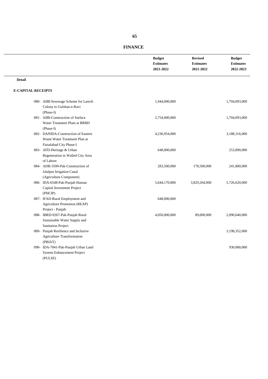|               |                                                                                                 | <b>Budget</b><br><b>Estimates</b><br>2021-2022 | <b>Revised</b><br><b>Estimates</b><br>2021-2022 | <b>Budget</b><br><b>Estimates</b><br>2022-2023 |
|---------------|-------------------------------------------------------------------------------------------------|------------------------------------------------|-------------------------------------------------|------------------------------------------------|
| <b>Detail</b> |                                                                                                 |                                                |                                                 |                                                |
|               | <b>E-CAPITAL RECEIPTS</b>                                                                       |                                                |                                                 |                                                |
|               | 080- AIIB-Sewerage Scheme for Larech<br>Colony to Gulshan-e-Ravi<br>(Phase-I)                   | 1,944,000,000                                  |                                                 | 1,704,093,000                                  |
|               | 081- AIIB-Construction of Surface<br>Water Treatment Plant at BRBD<br>(Phase-I)                 | 2,754,000,000                                  |                                                 | 1,704,093,000                                  |
|               | 082- DANIDA-Construction of Eastern<br>Waste Water Treatment Plan at<br>Faisalabad City Phase-I | 4,230,954,000                                  |                                                 | 3,188,316,000                                  |
|               | 083- AFD-Heritage & Urban<br>Regeneration in Walled City Area<br>of Lahore                      | 648,000,000                                    |                                                 | 253,890,000                                    |
|               | 084- ADB-3599-Pak-Construction of<br>Jalalpur Irrigation Canal<br>(Agriculture Component)       | 283,500,000                                    | 178,500,000                                     | 241,800,000                                    |
|               | 086- IDA-6548-Pak-Punjab Human<br>Capital Investment Project<br>(PHCIP)                         | 5,644,170,000                                  | 3,829,264,000                                   | 5,726,620,000                                  |
|               | 087- IFAD-Rural Employment and<br>Agriculture Promotion (REAP)<br>Project - Punjab              | 648,000,000                                    |                                                 |                                                |
|               | 088- IBRD-9267-Pak-Punjab Rural<br>Sustainable Water Supply and<br><b>Sanitation Project</b>    | 4,050,000,000                                  | 89,000,000                                      | 2,090,640,000                                  |
|               | 089- Punjab Resilience and Inclusive<br><b>Agriculture Transformation</b><br>(PRIAT)            |                                                |                                                 | 3,198,352,000                                  |
|               | 090- IDA-7041-Pak-Punjab Urban Land<br>System Enhancement Project<br>(PULSE)                    |                                                |                                                 | 930,000,000                                    |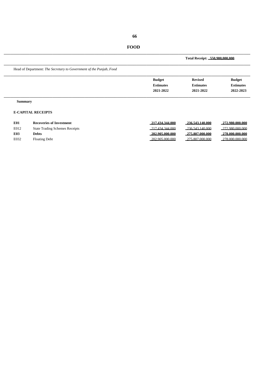**FOOD**

**Total Receipt: 550,980,000,000**

\_\_\_\_\_\_\_\_\_\_\_\_\_\_\_\_\_\_\_\_\_\_\_\_\_\_\_\_\_\_\_\_\_\_\_\_\_\_\_\_\_\_\_\_\_\_\_\_\_\_\_\_\_\_\_\_\_\_\_\_\_\_\_\_\_\_\_\_\_\_\_\_\_\_\_\_ Head of Department: *The Secretary to Government of the Punjab, Food*

| <b>Budget</b>    | <b>Revised</b>   | <b>Budget</b>    |
|------------------|------------------|------------------|
| <b>Estimates</b> | <b>Estimates</b> | <b>Estimates</b> |
| 2021-2022        | 2021-2022        | 2022-2023        |
|                  |                  |                  |

\_\_\_\_\_\_\_\_\_\_\_\_\_\_\_\_\_\_\_\_\_\_\_\_\_\_\_\_\_\_\_\_\_\_\_\_\_\_\_\_\_\_\_\_\_\_\_\_\_\_\_\_\_\_\_\_\_\_\_\_\_\_\_\_\_\_\_\_\_\_\_\_\_\_\_\_

#### **Summary**

# **E-CAPITAL RECEIPTS**

| E01  | <b>Recoveries of Investment</b>       | 217.434.344.000    | 236.543.140.000  | 272.980.000.000  |
|------|---------------------------------------|--------------------|------------------|------------------|
| E012 | <b>State Trading Schemes Receipts</b> | 217.434.344.000    | 236.543.140.000  | 272.980.000.000  |
| E03  | Debts                                 | $-202.905.000.000$ | -275.807.000.000 | _278.000.000.000 |
| E032 | <b>Floating Debt</b>                  | 202.905.000.000    | 275.807.000.000  | 278.000.000.000  |